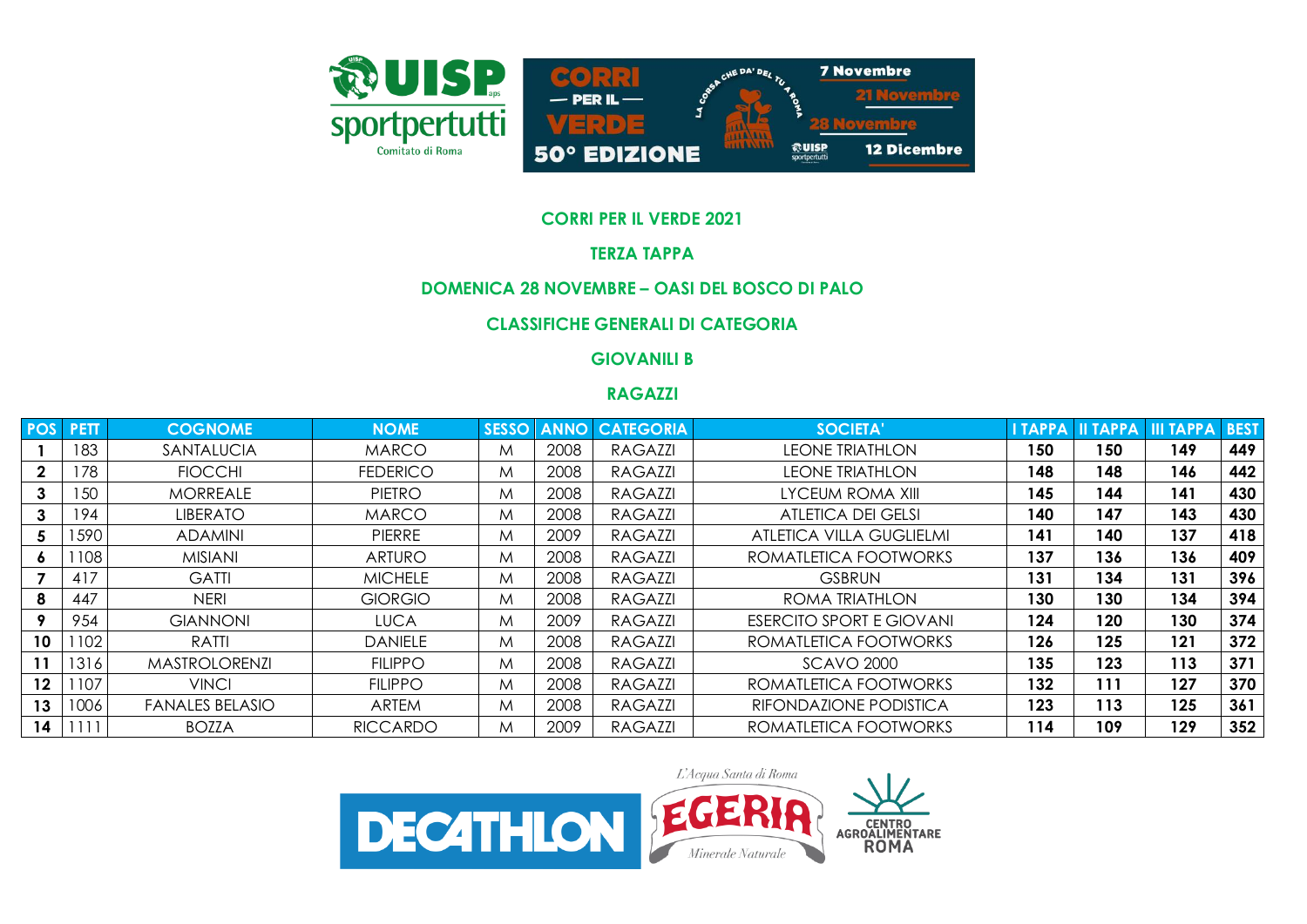

### **CORRI PER IL VERDE 2021**

# **TERZA TAPPA**

### **DOMENICA 28 NOVEMBRE – OASI DEL BOSCO DI PALO**

# **CLASSIFICHE GENERALI DI CATEGORIA**

# **GIOVANILI B**

### **RAGAZZI**

| <b>POS</b> | <b>PETT</b> | <b>COGNOME</b>         | <b>NOME</b>     | <b>SESSO</b> | <b>ANNO</b> | <b>CATEGORIA</b> | SOCIETA'                        | <b>I TAPPA</b> |     | <b>III TAPPA III TAPPA</b> | <b>BEST</b> |
|------------|-------------|------------------------|-----------------|--------------|-------------|------------------|---------------------------------|----------------|-----|----------------------------|-------------|
|            | 183         | SANTALUCIA             | <b>MARCO</b>    | M            | 2008        | RAGAZZI          | <b>LEONE TRIATHLON</b>          | 150            | 150 | 149                        | 449         |
|            | 178         | <b>FIOCCHI</b>         | <b>FEDERICO</b> | M            | 2008        | <b>RAGAZZI</b>   | <b>LEONE TRIATHLON</b>          | 148            | 148 | 146                        | 442         |
|            | 150         | <b>MORREALE</b>        | PIETRO          | M            | 2008        | RAGAZZI          | LYCEUM ROMA XIII                | 145            | 144 | 141                        | 430         |
|            | 194         | <b>LIBERATO</b>        | <b>MARCO</b>    | M            | 2008        | <b>RAGAZZI</b>   | <b>ATLETICA DEI GELSI</b>       | 140            | 147 | 143                        | 430         |
| 5          | 1590        | <b>ADAMINI</b>         | <b>PIERRE</b>   | M            | 2009        | <b>RAGAZZI</b>   | ATLETICA VILLA GUGLIELMI        | 141            | 140 | 137                        | 418         |
| 6          | 1108        | <b>MISIANI</b>         | <b>ARTURO</b>   | M            | 2008        | <b>RAGAZZI</b>   | ROMATLETICA FOOTWORKS           | 137            | 136 | 136                        | 409         |
|            | 417         | <b>GATTI</b>           | <b>MICHELE</b>  | M            | 2008        | <b>RAGAZZI</b>   | <b>GSBRUN</b>                   | 131            | 134 | 131                        | 396         |
|            | 447         | <b>NERI</b>            | <b>GIORGIO</b>  | M            | 2008        | <b>RAGAZZI</b>   | ROMA TRIATHLON                  | 130            | 130 | 134                        | 394         |
|            | 954         | <b>GIANNONI</b>        | <b>LUCA</b>     | M            | 2009        | RAGAZZI          | <b>ESERCITO SPORT E GIOVANI</b> | 124            | 120 | 130                        | 374         |
| 10         | 102         | RATTI                  | <b>DANIELE</b>  | M            | 2008        | RAGAZZI          | ROMATLETICA FOOTWORKS           | 126            | 125 | 121                        | 372         |
| 11         | 1316        | <b>MASTROLORENZI</b>   | <b>FILIPPO</b>  | M            | 2008        | <b>RAGAZZI</b>   | <b>SCAVO 2000</b>               | 135            | 123 | 113                        | 371         |
| $12 \,$    | 1107        | <b>VINCI</b>           | <b>FILIPPO</b>  | M            | 2008        | <b>RAGAZZI</b>   | ROMATLETICA FOOTWORKS           | 132            | 111 | 127                        | 370         |
| 13         | 1006        | <b>FANALES BELASIO</b> | <b>ARTEM</b>    | M            | 2008        | <b>RAGAZZI</b>   | RIFONDAZIONE PODISTICA          | 123            | 113 | 125                        | 361         |
| 14         |             | <b>BOZZA</b>           | <b>RICCARDO</b> | M            | 2009        | <b>RAGAZZI</b>   | ROMATLETICA FOOTWORKS           | 114            | 109 | 129                        | 352         |

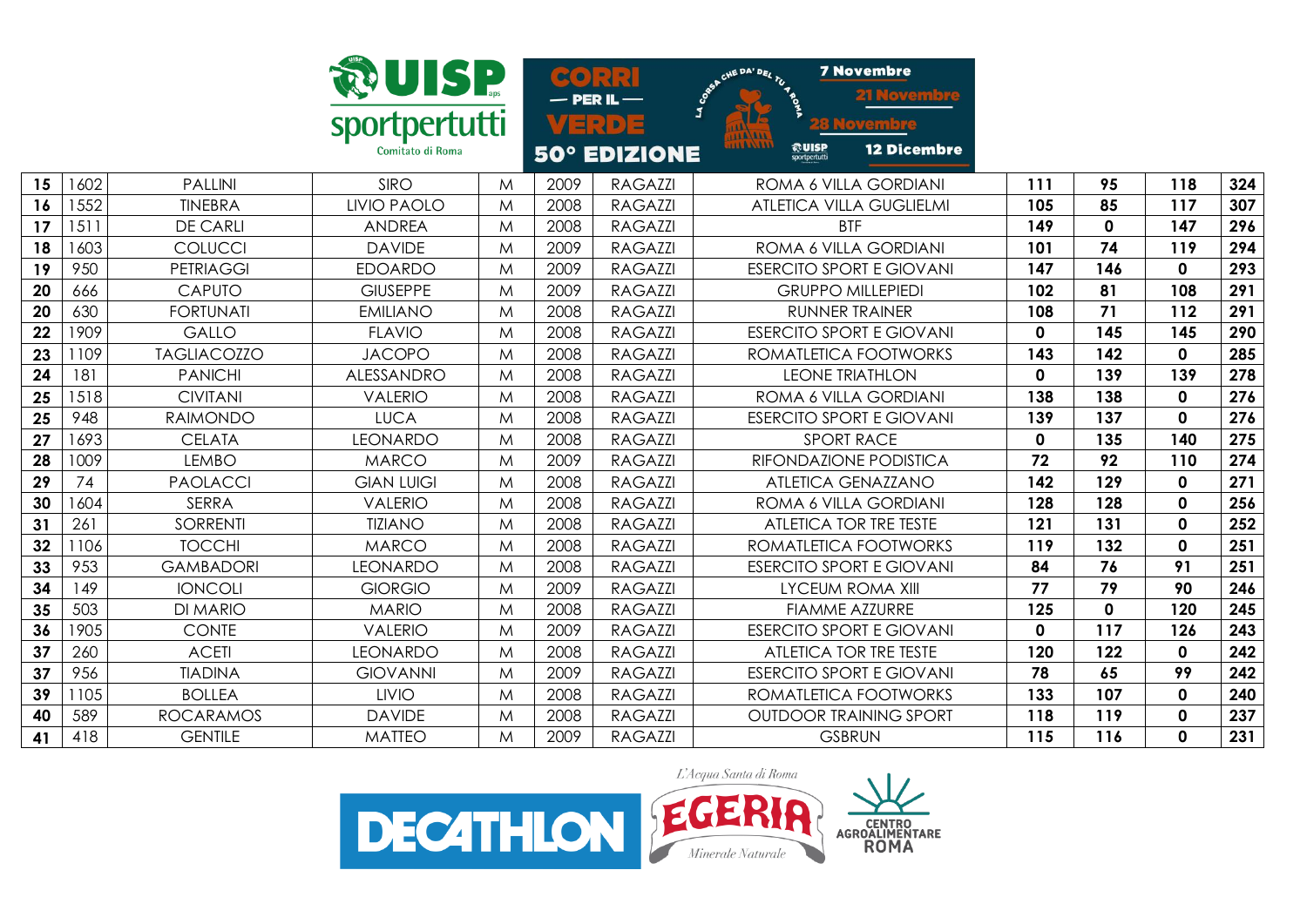|    |      |                    | <b>WANNISE</b>     |             |      | SO(3)<br>$-$ PER IL $-$ | CHE DA' DEL TU 4 BOS                 | <b>7 Novembre</b>               |             |             |              |     |
|----|------|--------------------|--------------------|-------------|------|-------------------------|--------------------------------------|---------------------------------|-------------|-------------|--------------|-----|
|    |      |                    | sportpertutti      |             |      | VERDE                   | $\mathbf{r}$                         |                                 |             |             |              |     |
|    |      |                    | Comitato di Roma   |             |      | <b>50° EDIZIONE</b>     | 11A/111<br>17877877<br><b>ROUISP</b> | <b>12 Dicembre</b>              |             |             |              |     |
| 15 | 1602 | <b>PALLINI</b>     | <b>SIRO</b>        | M           | 2009 | <b>RAGAZZI</b>          |                                      | ROMA 6 VILLA GORDIANI           | 111         | 95          | 118          | 324 |
| 16 | 1552 | <b>TINEBRA</b>     | <b>LIVIO PAOLO</b> | M           | 2008 | <b>RAGAZZI</b>          |                                      | <b>ATLETICA VILLA GUGLIELMI</b> | 105         | 85          | 117          | 307 |
| 17 | 1511 | <b>DE CARLI</b>    | <b>ANDREA</b>      | M           | 2008 | <b>RAGAZZI</b>          |                                      | <b>BTF</b>                      | 149         | $\mathbf 0$ | 147          | 296 |
| 18 | 1603 | COLUCCI            | <b>DAVIDE</b>      | M           | 2009 | <b>RAGAZZI</b>          |                                      | ROMA 6 VILLA GORDIANI           | 101         | 74          | 119          | 294 |
| 19 | 950  | <b>PETRIAGGI</b>   | <b>EDOARDO</b>     | M           | 2009 | RAGAZZI                 |                                      | <b>ESERCITO SPORT E GIOVANI</b> | 147         | 146         | $\mathbf 0$  | 293 |
| 20 | 666  | <b>CAPUTO</b>      | <b>GIUSEPPE</b>    | M           | 2009 | <b>RAGAZZI</b>          |                                      | <b>GRUPPO MILLEPIEDI</b>        | 102         | 81          | 108          | 291 |
| 20 | 630  | <b>FORTUNATI</b>   | <b>EMILIANO</b>    | M           | 2008 | <b>RAGAZZI</b>          |                                      | <b>RUNNER TRAINER</b>           | 108         | 71          | 112          | 291 |
| 22 | 1909 | <b>GALLO</b>       | <b>FLAVIO</b>      | M           | 2008 | <b>RAGAZZI</b>          |                                      | <b>ESERCITO SPORT E GIOVANI</b> | $\mathbf 0$ | 145         | 145          | 290 |
| 23 | 1109 | <b>TAGLIACOZZO</b> | <b>JACOPO</b>      | M           | 2008 | <b>RAGAZZI</b>          |                                      | ROMATLETICA FOOTWORKS           | 143         | 142         | $\mathbf 0$  | 285 |
| 24 | 181  | <b>PANICHI</b>     | ALESSANDRO         | M           | 2008 | <b>RAGAZZI</b>          |                                      | <b>LEONE TRIATHLON</b>          | $\mathbf 0$ | 139         | 139          | 278 |
| 25 | 1518 | <b>CIVITANI</b>    | <b>VALERIO</b>     | M           | 2008 | <b>RAGAZZI</b>          |                                      | ROMA 6 VILLA GORDIANI           | 138         | 138         | $\mathbf 0$  | 276 |
| 25 | 948  | <b>RAIMONDO</b>    | <b>LUCA</b>        | M           | 2008 | <b>RAGAZZI</b>          |                                      | <b>ESERCITO SPORT E GIOVANI</b> | 139         | 137         | $\mathbf{0}$ | 276 |
| 27 | 1693 | <b>CELATA</b>      | <b>LEONARDO</b>    | M           | 2008 | <b>RAGAZZI</b>          |                                      | <b>SPORT RACE</b>               | $\mathbf 0$ | 135         | 140          | 275 |
| 28 | 1009 | <b>LEMBO</b>       | <b>MARCO</b>       | M           | 2009 | <b>RAGAZZI</b>          |                                      | RIFONDAZIONE PODISTICA          | 72          | 92          | 110          | 274 |
| 29 | 74   | <b>PAOLACCI</b>    | <b>GIAN LUIGI</b>  | M           | 2008 | <b>RAGAZZI</b>          |                                      | <b>ATLETICA GENAZZANO</b>       | 142         | 129         | $\mathbf 0$  | 271 |
| 30 | 1604 | <b>SERRA</b>       | <b>VALERIO</b>     | $M_{\odot}$ | 2008 | <b>RAGAZZI</b>          |                                      | ROMA 6 VILLA GORDIANI           | 128         | 128         | $\mathbf 0$  | 256 |
| 31 | 261  | <b>SORRENTI</b>    | <b>TIZIANO</b>     | M           | 2008 | <b>RAGAZZI</b>          |                                      | ATLETICA TOR TRE TESTE          | 121         | 131         | $\mathbf 0$  | 252 |
| 32 | 1106 | <b>TOCCHI</b>      | <b>MARCO</b>       | M           | 2008 | <b>RAGAZZI</b>          |                                      | ROMATLETICA FOOTWORKS           | 119         | 132         | $\mathbf 0$  | 251 |
| 33 | 953  | <b>GAMBADORI</b>   | <b>LEONARDO</b>    | M           | 2008 | <b>RAGAZZI</b>          |                                      | <b>ESERCITO SPORT E GIOVANI</b> | 84          | 76          | 91           | 251 |
| 34 | 149  | <b>IONCOLI</b>     | <b>GIORGIO</b>     | M           | 2009 | <b>RAGAZZI</b>          |                                      | <b>LYCEUM ROMA XIII</b>         | 77          | 79          | 90           | 246 |
| 35 | 503  | <b>DI MARIO</b>    | <b>MARIO</b>       | M           | 2008 | <b>RAGAZZI</b>          |                                      | <b>FIAMME AZZURRE</b>           | 125         | $\mathbf 0$ | 120          | 245 |
| 36 | 1905 | <b>CONTE</b>       | <b>VALERIO</b>     | M           | 2009 | <b>RAGAZZI</b>          |                                      | <b>ESERCITO SPORT E GIOVANI</b> | $\mathbf 0$ | 117         | 126          | 243 |
| 37 | 260  | <b>ACETI</b>       | <b>LEONARDO</b>    | M           | 2008 | <b>RAGAZZI</b>          |                                      | ATLETICA TOR TRE TESTE          | 120         | 122         | $\mathbf 0$  | 242 |
| 37 | 956  | <b>TIADINA</b>     | <b>GIOVANNI</b>    | M           | 2009 | <b>RAGAZZI</b>          |                                      | <b>ESERCITO SPORT E GIOVANI</b> | 78          | 65          | 99           | 242 |
| 39 | 1105 | <b>BOLLEA</b>      | <b>LIVIO</b>       | M           | 2008 | <b>RAGAZZI</b>          |                                      | ROMATLETICA FOOTWORKS           | 133         | 107         | $\mathbf 0$  | 240 |
| 40 | 589  | <b>ROCARAMOS</b>   | <b>DAVIDE</b>      | M           | 2008 | <b>RAGAZZI</b>          |                                      | <b>OUTDOOR TRAINING SPORT</b>   | 118         | 119         | $\mathbf 0$  | 237 |
| 41 | 418  | <b>GENTILE</b>     | <b>MATTEO</b>      | M           | 2009 | <b>RAGAZZI</b>          |                                      | <b>GSBRUN</b>                   | 115         | 116         | 0            | 231 |

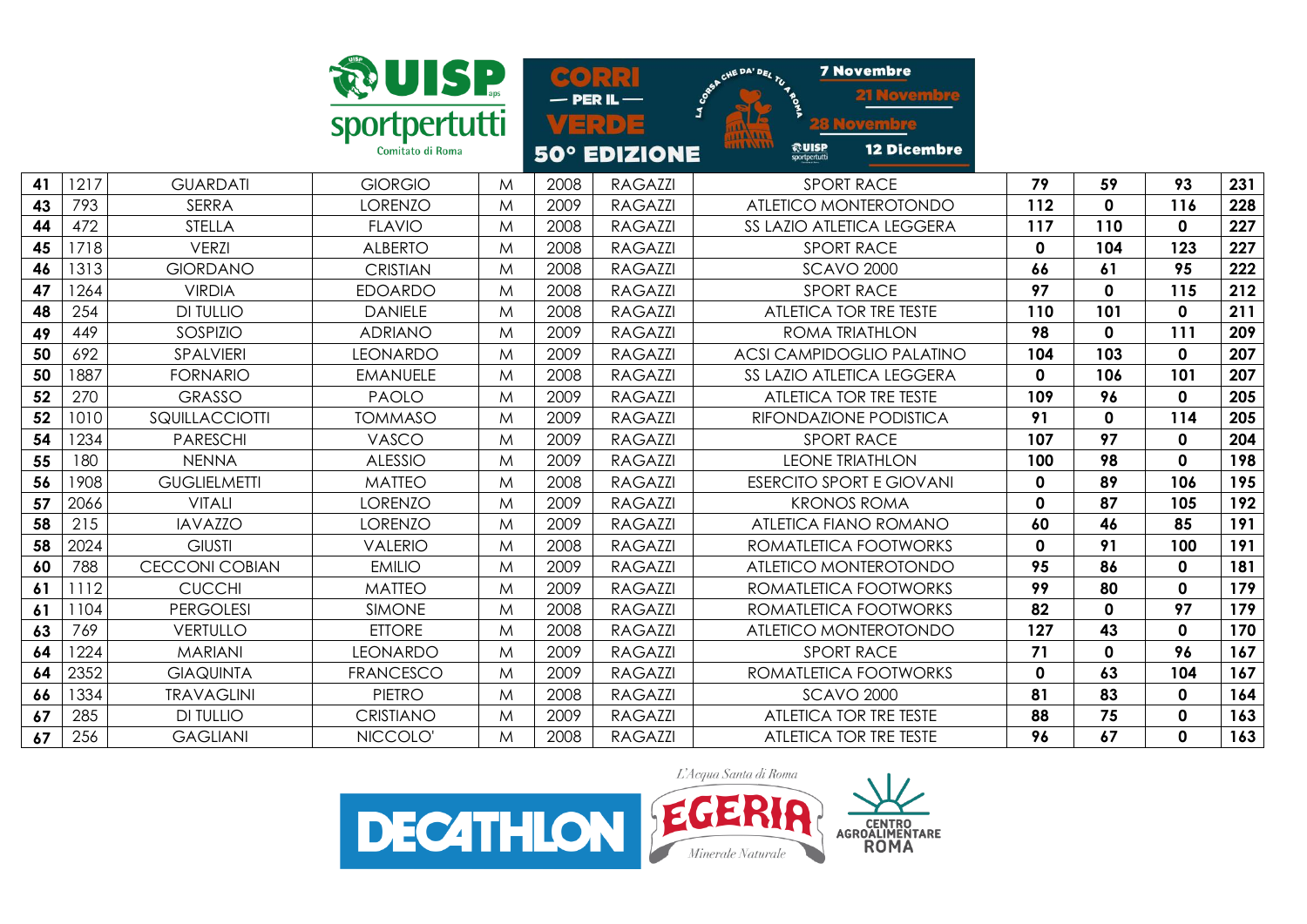|    |      |                       | <b>WUISP</b>                      |   | $\infty$ |                                              | CHE DA' DEL TU 16                                        | <b>7 Novembre</b>                |             |             |              |     |
|----|------|-----------------------|-----------------------------------|---|----------|----------------------------------------------|----------------------------------------------------------|----------------------------------|-------------|-------------|--------------|-----|
|    |      |                       | sportpertutti<br>Comitato di Roma |   |          | <b>PER IL</b><br>크리아크<br><b>50° EDIZIONE</b> | <b>HALAM</b><br>1141111<br><b>@UISP</b><br>sportpertutti | <b>12 Dicembre</b>               |             |             |              |     |
| 41 | 1217 | <b>GUARDATI</b>       | <b>GIORGIO</b>                    | M | 2008     | <b>RAGAZZI</b>                               |                                                          | <b>SPORT RACE</b>                | 79          | 59          | 93           | 231 |
| 43 | 793  | <b>SERRA</b>          | <b>LORENZO</b>                    | M | 2009     | <b>RAGAZZI</b>                               |                                                          | ATLETICO MONTEROTONDO            | 112         | $\mathbf 0$ | 116          | 228 |
| 44 | 472  | <b>STELLA</b>         | <b>FLAVIO</b>                     | M | 2008     | <b>RAGAZZI</b>                               |                                                          | SS LAZIO ATLETICA LEGGERA        | 117         | 110         | $\mathbf 0$  | 227 |
| 45 | 1718 | <b>VERZI</b>          | <b>ALBERTO</b>                    | M | 2008     | <b>RAGAZZI</b>                               |                                                          | <b>SPORT RACE</b>                | $\mathbf 0$ | 104         | 123          | 227 |
| 46 | 1313 | <b>GIORDANO</b>       | <b>CRISTIAN</b>                   | M | 2008     | <b>RAGAZZI</b>                               |                                                          | <b>SCAVO 2000</b>                | 66          | 61          | 95           | 222 |
| 47 | 1264 | <b>VIRDIA</b>         | <b>EDOARDO</b>                    | M | 2008     | <b>RAGAZZI</b>                               |                                                          | <b>SPORT RACE</b>                | 97          | $\mathbf 0$ | 115          | 212 |
| 48 | 254  | <b>DI TULLIO</b>      | <b>DANIELE</b>                    | M | 2008     | <b>RAGAZZI</b>                               |                                                          | ATLETICA TOR TRE TESTE           | 110         | 101         | $\mathbf 0$  | 211 |
| 49 | 449  | SOSPIZIO              | <b>ADRIANO</b>                    | M | 2009     | <b>RAGAZZI</b>                               |                                                          | ROMA TRIATHLON                   | 98          | $\mathbf 0$ | 111          | 209 |
| 50 | 692  | SPALVIERI             | <b>LEONARDO</b>                   | M | 2009     | <b>RAGAZZI</b>                               |                                                          | <b>ACSI CAMPIDOGLIO PALATINO</b> | 104         | 103         | $\mathbf 0$  | 207 |
| 50 | 1887 | <b>FORNARIO</b>       | <b>EMANUELE</b>                   | M | 2008     | <b>RAGAZZI</b>                               |                                                          | SS LAZIO ATLETICA LEGGERA        | $\mathbf 0$ | 106         | 101          | 207 |
| 52 | 270  | <b>GRASSO</b>         | <b>PAOLO</b>                      | M | 2009     | <b>RAGAZZI</b>                               |                                                          | ATLETICA TOR TRE TESTE           | 109         | 96          | $\mathbf 0$  | 205 |
| 52 | 1010 | SQUILLACCIOTTI        | <b>TOMMASO</b>                    | M | 2009     | <b>RAGAZZI</b>                               |                                                          | RIFONDAZIONE PODISTICA           | 91          | $\mathbf 0$ | 114          | 205 |
| 54 | 1234 | <b>PARESCHI</b>       | VASCO                             | M | 2009     | <b>RAGAZZI</b>                               |                                                          | <b>SPORT RACE</b>                | 107         | 97          | $\mathbf 0$  | 204 |
| 55 | 180  | <b>NENNA</b>          | <b>ALESSIO</b>                    | M | 2009     | <b>RAGAZZI</b>                               |                                                          | <b>LEONE TRIATHLON</b>           | 100         | 98          | $\mathbf{0}$ | 198 |
| 56 | 1908 | <b>GUGLIELMETTI</b>   | <b>MATTEO</b>                     | M | 2008     | <b>RAGAZZI</b>                               |                                                          | <b>ESERCITO SPORT E GIOVANI</b>  | $\mathbf 0$ | 89          | 106          | 195 |
| 57 | 2066 | <b>VITALI</b>         | <b>LORENZO</b>                    | M | 2009     | <b>RAGAZZI</b>                               |                                                          | <b>KRONOS ROMA</b>               | 0           | 87          | 105          | 192 |
| 58 | 215  | <b>IAVAZZO</b>        | <b>LORENZO</b>                    | M | 2009     | <b>RAGAZZI</b>                               |                                                          | <b>ATLETICA FIANO ROMANO</b>     | 60          | 46          | 85           | 191 |
| 58 | 2024 | <b>GIUSTI</b>         | <b>VALERIO</b>                    | M | 2008     | <b>RAGAZZI</b>                               |                                                          | ROMATLETICA FOOTWORKS            | $\mathbf 0$ | 91          | 100          | 191 |
| 60 | 788  | <b>CECCONI COBIAN</b> | <b>EMILIO</b>                     | M | 2009     | <b>RAGAZZI</b>                               |                                                          | ATLETICO MONTEROTONDO            | 95          | 86          | $\mathbf 0$  | 181 |
| 61 | 1112 | <b>CUCCHI</b>         | <b>MATTEO</b>                     | M | 2009     | <b>RAGAZZI</b>                               |                                                          | ROMATLETICA FOOTWORKS            | 99          | 80          | $\mathbf 0$  | 179 |
| 61 | 1104 | <b>PERGOLESI</b>      | <b>SIMONE</b>                     | M | 2008     | <b>RAGAZZI</b>                               |                                                          | ROMATLETICA FOOTWORKS            | 82          | $\mathbf 0$ | 97           | 179 |
| 63 | 769  | <b>VERTULLO</b>       | <b>ETTORE</b>                     | M | 2008     | <b>RAGAZZI</b>                               |                                                          | ATLETICO MONTEROTONDO            | 127         | 43          | $\mathbf 0$  | 170 |
| 64 | 1224 | <b>MARIANI</b>        | <b>LEONARDO</b>                   | M | 2009     | <b>RAGAZZI</b>                               |                                                          | <b>SPORT RACE</b>                | 71          | $\mathbf 0$ | 96           | 167 |
| 64 | 2352 | <b>GIAQUINTA</b>      | <b>FRANCESCO</b>                  | M | 2009     | <b>RAGAZZI</b>                               |                                                          | ROMATLETICA FOOTWORKS            | 0           | 63          | 104          | 167 |
| 66 | 1334 | <b>TRAVAGLINI</b>     | <b>PIETRO</b>                     | M | 2008     | <b>RAGAZZI</b>                               |                                                          | <b>SCAVO 2000</b>                | 81          | 83          | $\mathbf 0$  | 164 |
| 67 | 285  | <b>DI TULLIO</b>      | <b>CRISTIANO</b>                  | M | 2009     | <b>RAGAZZI</b>                               |                                                          | ATLETICA TOR TRE TESTE           | 88          | 75          | $\mathbf 0$  | 163 |
| 67 | 256  | <b>GAGLIANI</b>       | NICCOLO'                          | M | 2008     | <b>RAGAZZI</b>                               |                                                          | ATLETICA TOR TRE TESTE           | 96          | 67          | $\mathbf{0}$ | 163 |

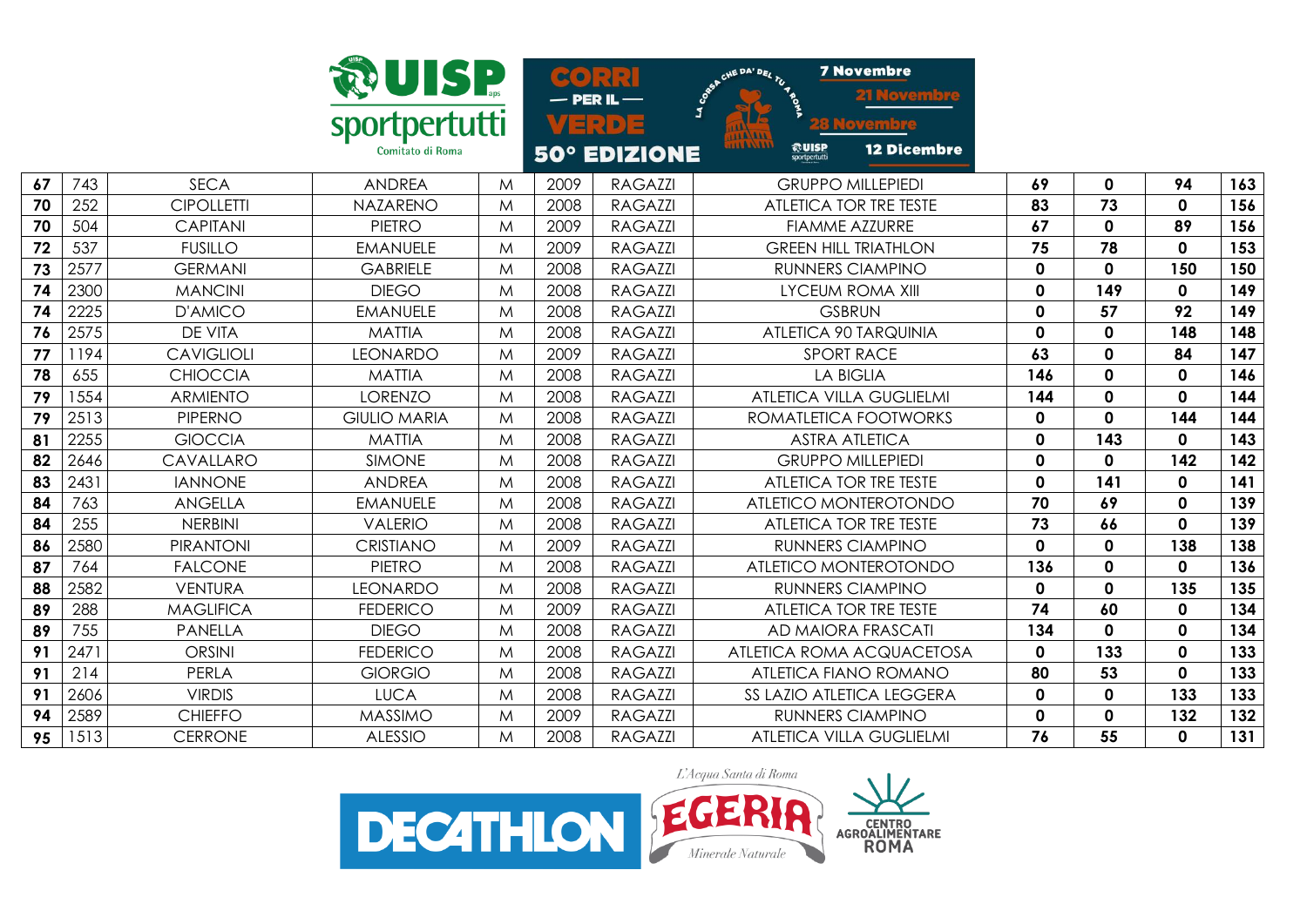|    |      |                   | <b>WISP</b>         |              |      | SO(3:1)<br>$-$ PER IL $-$ | CHE DA' DEL TU 4 PO                                                 | <b>7 Novembre</b>               |             |             |              |     |
|----|------|-------------------|---------------------|--------------|------|---------------------------|---------------------------------------------------------------------|---------------------------------|-------------|-------------|--------------|-----|
|    |      |                   | sportpertutti       |              |      | VERDE                     |                                                                     |                                 |             |             |              |     |
|    |      |                   | Comitato di Roma    |              |      | 50° EDIZIONE              | <b>AAAAAAA</b><br><b>ALAAAAAA</b><br><b>ROUISP</b><br>sportpertutti | <b>12 Dicembre</b>              |             |             |              |     |
| 67 | 743  | <b>SECA</b>       | <b>ANDREA</b>       | $\mathsf{M}$ | 2009 | <b>RAGAZZI</b>            |                                                                     | <b>GRUPPO MILLEPIEDI</b>        | 69          | $\mathbf 0$ | 94           | 163 |
| 70 | 252  | <b>CIPOLLETTI</b> | <b>NAZARENO</b>     | M            | 2008 | <b>RAGAZZI</b>            |                                                                     | ATLETICA TOR TRE TESTE          | 83          | 73          | $\mathbf{0}$ | 156 |
| 70 | 504  | <b>CAPITANI</b>   | <b>PIETRO</b>       | M            | 2009 | <b>RAGAZZI</b>            |                                                                     | <b>FIAMME AZZURRE</b>           | 67          | $\mathbf 0$ | 89           | 156 |
| 72 | 537  | <b>FUSILLO</b>    | <b>EMANUELE</b>     | M            | 2009 | <b>RAGAZZI</b>            |                                                                     | <b>GREEN HILL TRIATHLON</b>     | 75          | 78          | 0            | 153 |
| 73 | 2577 | <b>GERMANI</b>    | <b>GABRIELE</b>     | M            | 2008 | <b>RAGAZZI</b>            |                                                                     | <b>RUNNERS CIAMPINO</b>         | $\mathbf 0$ | $\mathbf 0$ | 150          | 150 |
| 74 | 2300 | <b>MANCINI</b>    | <b>DIEGO</b>        | M            | 2008 | <b>RAGAZZI</b>            |                                                                     | <b>LYCEUM ROMA XIII</b>         | $\mathbf 0$ | 149         | 0            | 149 |
| 74 | 2225 | D'AMICO           | <b>EMANUELE</b>     | M            | 2008 | <b>RAGAZZI</b>            |                                                                     | <b>GSBRUN</b>                   | $\mathbf 0$ | 57          | 92           | 149 |
| 76 | 2575 | <b>DE VITA</b>    | <b>MATTIA</b>       | M            | 2008 | <b>RAGAZZI</b>            |                                                                     | ATLETICA 90 TARQUINIA           | $\mathbf 0$ | $\mathbf 0$ | 148          | 148 |
| 77 | 1194 | <b>CAVIGLIOLI</b> | <b>LEONARDO</b>     | M            | 2009 | <b>RAGAZZI</b>            |                                                                     | <b>SPORT RACE</b>               | 63          | $\mathbf 0$ | 84           | 147 |
| 78 | 655  | <b>CHIOCCIA</b>   | <b>MATTIA</b>       | M            | 2008 | <b>RAGAZZI</b>            |                                                                     | <b>LA BIGLIA</b>                | 146         | $\mathbf 0$ | $\mathbf 0$  | 146 |
| 79 | 1554 | <b>ARMIENTO</b>   | <b>LORENZO</b>      | M            | 2008 | <b>RAGAZZI</b>            |                                                                     | ATLETICA VILLA GUGLIELMI        | 144         | $\mathbf 0$ | 0            | 144 |
| 79 | 2513 | <b>PIPERNO</b>    | <b>GIULIO MARIA</b> | M            | 2008 | <b>RAGAZZI</b>            |                                                                     | ROMATLETICA FOOTWORKS           | $\mathbf 0$ | $\mathbf 0$ | 144          | 144 |
| 81 | 2255 | <b>GIOCCIA</b>    | <b>MATTIA</b>       | M            | 2008 | <b>RAGAZZI</b>            |                                                                     | <b>ASTRA ATLETICA</b>           | $\mathbf 0$ | 143         | 0            | 143 |
| 82 | 2646 | CAVALLARO         | <b>SIMONE</b>       | M            | 2008 | <b>RAGAZZI</b>            |                                                                     | <b>GRUPPO MILLEPIEDI</b>        | $\mathbf 0$ | $\mathbf 0$ | 142          | 142 |
| 83 | 2431 | <b>IANNONE</b>    | <b>ANDREA</b>       | M            | 2008 | <b>RAGAZZI</b>            |                                                                     | ATLETICA TOR TRE TESTE          | $\mathbf 0$ | 141         | 0            | 141 |
| 84 | 763  | <b>ANGELLA</b>    | <b>EMANUELE</b>     | M            | 2008 | <b>RAGAZZI</b>            |                                                                     | ATLETICO MONTEROTONDO           | 70          | 69          | 0            | 139 |
| 84 | 255  | <b>NERBINI</b>    | <b>VALERIO</b>      | M            | 2008 | <b>RAGAZZI</b>            |                                                                     | ATLETICA TOR TRE TESTE          | 73          | 66          | 0            | 139 |
| 86 | 2580 | <b>PIRANTONI</b>  | <b>CRISTIANO</b>    | M            | 2009 | <b>RAGAZZI</b>            |                                                                     | <b>RUNNERS CIAMPINO</b>         | $\mathbf 0$ | $\mathbf 0$ | 138          | 138 |
| 87 | 764  | <b>FALCONE</b>    | PIETRO              | M            | 2008 | <b>RAGAZZI</b>            |                                                                     | ATLETICO MONTEROTONDO           | 136         | $\mathbf 0$ | 0            | 136 |
| 88 | 2582 | <b>VENTURA</b>    | <b>LEONARDO</b>     | M            | 2008 | <b>RAGAZZI</b>            |                                                                     | <b>RUNNERS CIAMPINO</b>         | $\mathbf 0$ | $\mathbf 0$ | 135          | 135 |
| 89 | 288  | <b>MAGLIFICA</b>  | <b>FEDERICO</b>     | M            | 2009 | <b>RAGAZZI</b>            |                                                                     | ATLETICA TOR TRE TESTE          | 74          | 60          | 0            | 134 |
| 89 | 755  | <b>PANELLA</b>    | <b>DIEGO</b>        | M            | 2008 | <b>RAGAZZI</b>            |                                                                     | AD MAIORA FRASCATI              | 134         | $\mathbf 0$ | 0            | 134 |
| 91 | 2471 | <b>ORSINI</b>     | <b>FEDERICO</b>     | M            | 2008 | <b>RAGAZZI</b>            |                                                                     | ATLETICA ROMA ACQUACETOSA       | $\mathbf 0$ | 133         | 0            | 133 |
| 91 | 214  | PERLA             | <b>GIORGIO</b>      | M            | 2008 | <b>RAGAZZI</b>            |                                                                     | <b>ATLETICA FIANO ROMANO</b>    | 80          | 53          | 0            | 133 |
| 91 | 2606 | <b>VIRDIS</b>     | <b>LUCA</b>         | M            | 2008 | <b>RAGAZZI</b>            |                                                                     | SS LAZIO ATLETICA LEGGERA       | $\mathbf 0$ | $\mathbf 0$ | 133          | 133 |
| 94 | 2589 | <b>CHIEFFO</b>    | <b>MASSIMO</b>      | M            | 2009 | <b>RAGAZZI</b>            |                                                                     | <b>RUNNERS CIAMPINO</b>         | $\mathbf 0$ | $\mathbf 0$ | 132          | 132 |
| 95 | 1513 | <b>CERRONE</b>    | <b>ALESSIO</b>      | M            | 2008 | <b>RAGAZZI</b>            |                                                                     | <b>ATLETICA VILLA GUGLIELMI</b> | 76          | 55          | 0            | 131 |

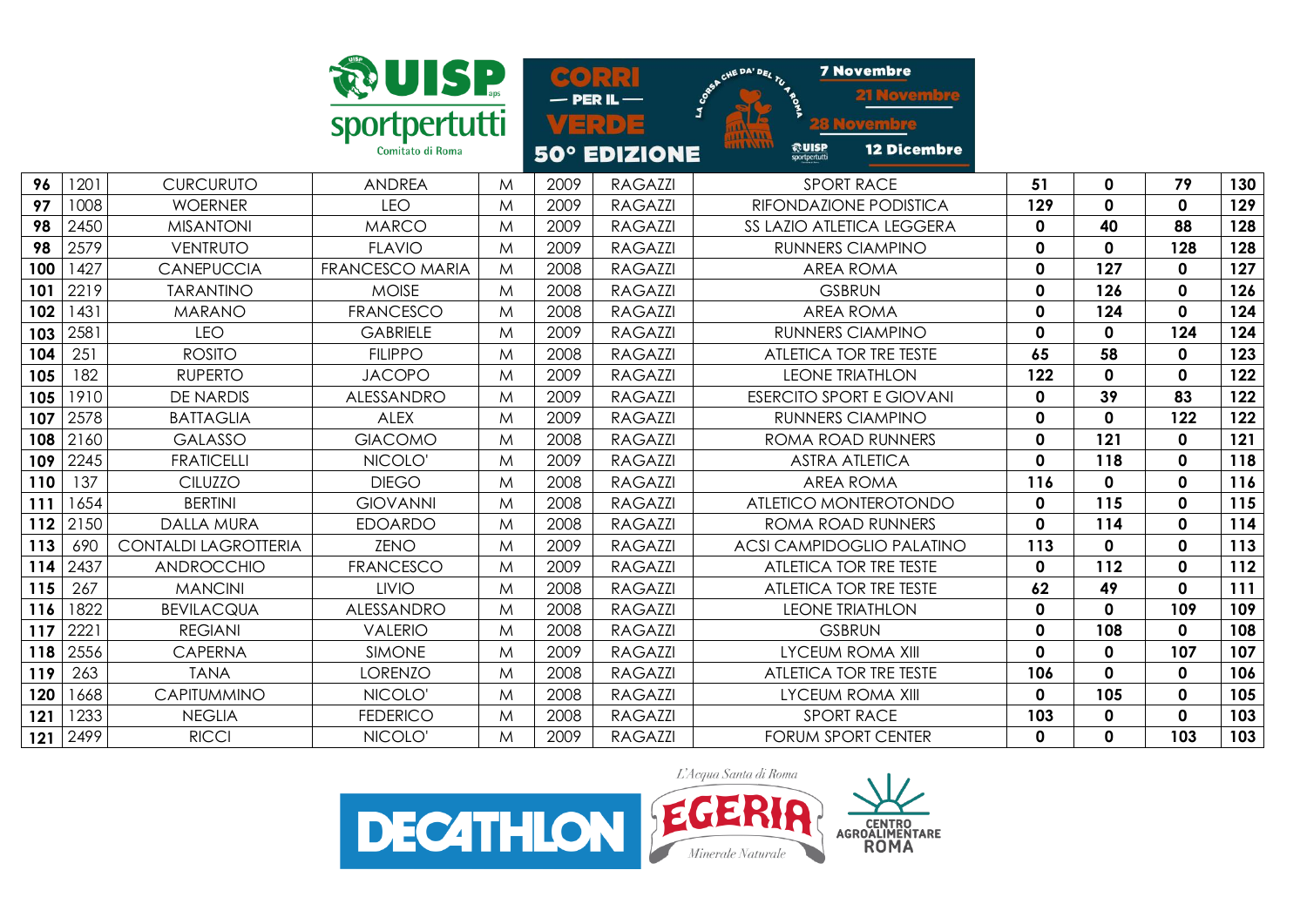|     |      |                             | <b>RUISP</b>           |   | $\infty$ $\bullet$ ) |                     | CHE DA' DEL TU 4 BOS                            | <b>7 Novembre</b>                |              |             |              |     |
|-----|------|-----------------------------|------------------------|---|----------------------|---------------------|-------------------------------------------------|----------------------------------|--------------|-------------|--------------|-----|
|     |      |                             | sportpertutti          |   |                      | 다리이                 | <b>HALALL</b>                                   |                                  |              |             |              |     |
|     |      |                             | Comitato di Roma       |   |                      | <b>50° EDIZIONE</b> | <b>ALAXAAA</b><br><b>@UISP</b><br>sportpertutti | <b>12 Dicembre</b>               |              |             |              |     |
| 96  | 1201 | <b>CURCURUTO</b>            | <b>ANDREA</b>          | M | 2009                 | <b>RAGAZZI</b>      |                                                 | <b>SPORT RACE</b>                | 51           | $\mathbf 0$ | 79           | 130 |
| 97  | 1008 | <b>WOERNER</b>              | <b>LEO</b>             | M | 2009                 | <b>RAGAZZI</b>      |                                                 | RIFONDAZIONE PODISTICA           | 129          | 0           | $\Omega$     | 129 |
| 98  | 2450 | <b>MISANTONI</b>            | <b>MARCO</b>           | M | 2009                 | <b>RAGAZZI</b>      |                                                 | SS LAZIO ATLETICA LEGGERA        | $\mathbf 0$  | 40          | 88           | 128 |
| 98  | 2579 | VENTRUTO                    | <b>FLAVIO</b>          | M | 2009                 | <b>RAGAZZI</b>      |                                                 | RUNNERS CIAMPINO                 | $\mathbf 0$  | 0           | 128          | 128 |
| 100 | 1427 | <b>CANEPUCCIA</b>           | <b>FRANCESCO MARIA</b> | M | 2008                 | <b>RAGAZZI</b>      |                                                 | <b>AREA ROMA</b>                 | $\mathbf 0$  | 127         | 0            | 127 |
| 101 | 2219 | <b>TARANTINO</b>            | <b>MOISE</b>           | M | 2008                 | <b>RAGAZZI</b>      |                                                 | <b>GSBRUN</b>                    | $\mathbf 0$  | 126         | $\mathbf 0$  | 126 |
| 102 | 1431 | <b>MARANO</b>               | <b>FRANCESCO</b>       | M | 2008                 | <b>RAGAZZI</b>      |                                                 | <b>AREA ROMA</b>                 | $\mathbf 0$  | 124         | $\mathbf{0}$ | 124 |
| 103 | 2581 | <b>LEO</b>                  | <b>GABRIELE</b>        | M | 2009                 | <b>RAGAZZI</b>      |                                                 | <b>RUNNERS CIAMPINO</b>          | $\mathbf 0$  | $\mathbf 0$ | 124          | 124 |
| 104 | 251  | <b>ROSITO</b>               | <b>FILIPPO</b>         | M | 2008                 | <b>RAGAZZI</b>      |                                                 | ATLETICA TOR TRE TESTE           | 65           | 58          | $\mathbf 0$  | 123 |
| 105 | 182  | <b>RUPERTO</b>              | <b>JACOPO</b>          | M | 2009                 | <b>RAGAZZI</b>      |                                                 | <b>LEONE TRIATHLON</b>           | 122          | $\mathbf 0$ | $\mathbf{0}$ | 122 |
| 105 | 1910 | <b>DE NARDIS</b>            | ALESSANDRO             | M | 2009                 | <b>RAGAZZI</b>      |                                                 | <b>ESERCITO SPORT E GIOVANI</b>  | $\mathbf 0$  | 39          | 83           | 122 |
| 107 | 2578 | <b>BATTAGLIA</b>            | <b>ALEX</b>            | M | 2009                 | RAGAZZI             |                                                 | <b>RUNNERS CIAMPINO</b>          | $\mathbf 0$  | $\mathbf 0$ | 122          | 122 |
| 108 | 2160 | <b>GALASSO</b>              | <b>GIACOMO</b>         | M | 2008                 | <b>RAGAZZI</b>      |                                                 | <b>ROMA ROAD RUNNERS</b>         | $\mathbf 0$  | 121         | 0            | 121 |
| 109 | 2245 | <b>FRATICELLI</b>           | NICOLO'                | M | 2009                 | <b>RAGAZZI</b>      |                                                 | <b>ASTRA ATLETICA</b>            | $\mathbf 0$  | 118         | $\mathbf 0$  | 118 |
| 110 | 137  | <b>CILUZZO</b>              | <b>DIEGO</b>           | M | 2008                 | <b>RAGAZZI</b>      |                                                 | <b>AREA ROMA</b>                 | 116          | $\mathbf 0$ | 0            | 116 |
| 111 | 1654 | <b>BERTINI</b>              | <b>GIOVANNI</b>        | M | 2008                 | <b>RAGAZZI</b>      |                                                 | ATLETICO MONTEROTONDO            | $\mathbf 0$  | 115         | 0            | 115 |
| 112 | 2150 | <b>DALLA MURA</b>           | <b>EDOARDO</b>         | M | 2008                 | <b>RAGAZZI</b>      |                                                 | ROMA ROAD RUNNERS                | $\mathbf 0$  | 114         | 0            | 114 |
| 113 | 690  | <b>CONTALDI LAGROTTERIA</b> | <b>ZENO</b>            | M | 2009                 | <b>RAGAZZI</b>      |                                                 | <b>ACSI CAMPIDOGLIO PALATINO</b> | 113          | $\mathbf 0$ | $\mathbf{0}$ | 113 |
| 114 | 2437 | ANDROCCHIO                  | <b>FRANCESCO</b>       | M | 2009                 | <b>RAGAZZI</b>      |                                                 | ATLETICA TOR TRE TESTE           | $\mathbf 0$  | 112         | 0            | 112 |
| 115 | 267  | <b>MANCINI</b>              | <b>LIVIO</b>           | M | 2008                 | <b>RAGAZZI</b>      |                                                 | ATLETICA TOR TRE TESTE           | 62           | 49          | 0            | 111 |
| 116 | 1822 | <b>BEVILACQUA</b>           | ALESSANDRO             | M | 2008                 | <b>RAGAZZI</b>      |                                                 | <b>LEONE TRIATHLON</b>           | $\mathbf 0$  | $\mathbf 0$ | 109          | 109 |
| 117 | 2221 | <b>REGIANI</b>              | <b>VALERIO</b>         | M | 2008                 | <b>RAGAZZI</b>      |                                                 | <b>GSBRUN</b>                    | $\mathbf 0$  | 108         | 0            | 108 |
| 118 | 2556 | <b>CAPERNA</b>              | <b>SIMONE</b>          | M | 2009                 | <b>RAGAZZI</b>      |                                                 | <b>LYCEUM ROMA XIII</b>          | $\mathbf 0$  | $\mathbf 0$ | 107          | 107 |
| 119 | 263  | <b>TANA</b>                 | <b>LORENZO</b>         | M | 2008                 | <b>RAGAZZI</b>      |                                                 | ATLETICA TOR TRE TESTE           | 106          | $\mathbf 0$ | $\mathbf 0$  | 106 |
| 120 | 1668 | CAPITUMMINO                 | NICOLO'                | M | 2008                 | <b>RAGAZZI</b>      |                                                 | <b>LYCEUM ROMA XIII</b>          | $\mathbf 0$  | 105         | 0            | 105 |
| 121 | 1233 | <b>NEGLIA</b>               | <b>FEDERICO</b>        | M | 2008                 | <b>RAGAZZI</b>      |                                                 | <b>SPORT RACE</b>                | 103          | 0           | 0            | 103 |
| 121 | 2499 | <b>RICCI</b>                | NICOLO'                | M | 2009                 | <b>RAGAZZI</b>      |                                                 | <b>FORUM SPORT CENTER</b>        | $\mathbf{0}$ | 0           | 103          | 103 |

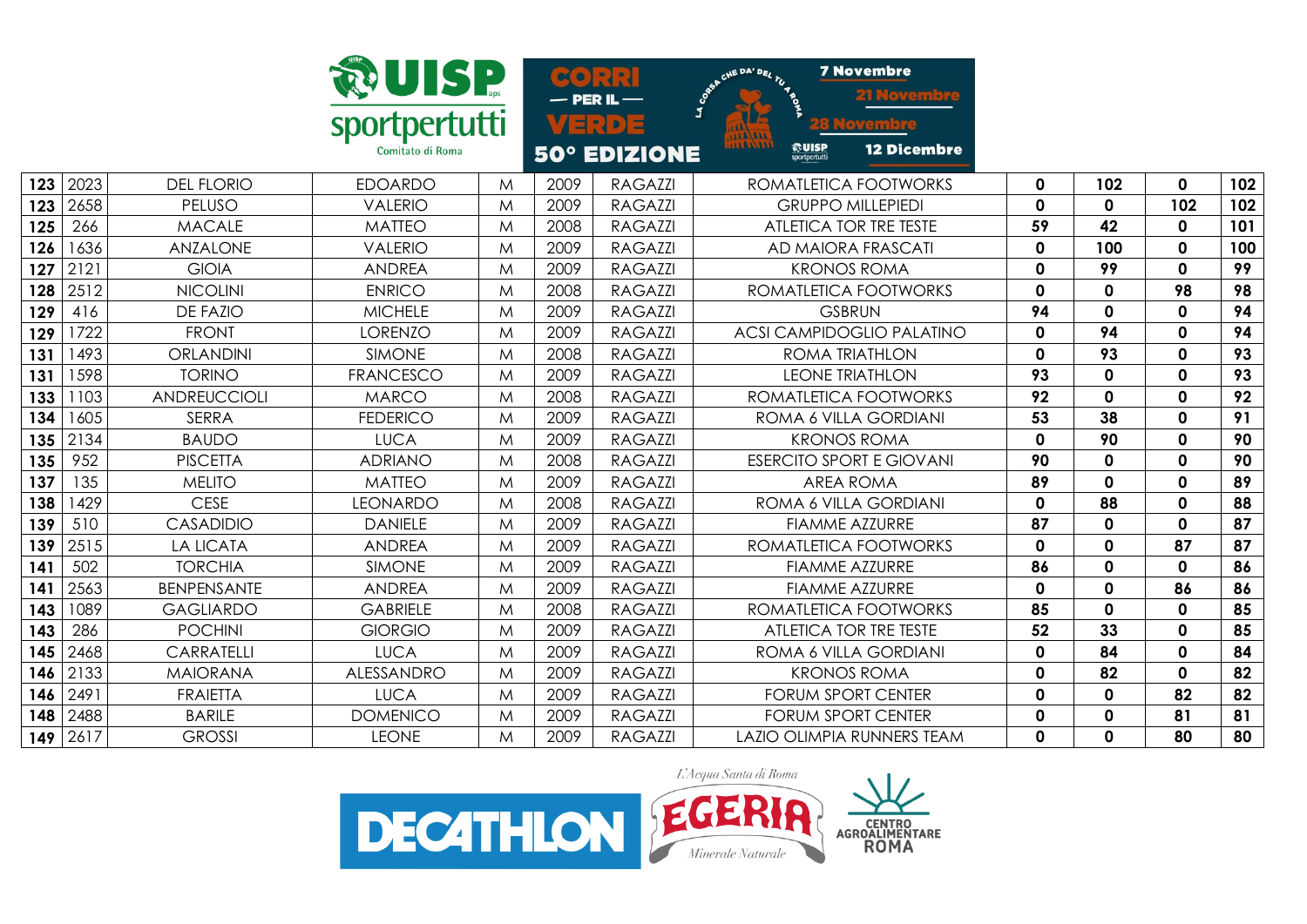|     |      |                    | <b>RUISP</b><br>sportpertutti<br>Comitato di Roma |   |      | $\bullet$ $\bullet$ $\cdot$ $\cdot$ $\cdot$ $\cdot$<br>– PER IL —<br>S.<br>4 E (D) E<br><b>50° EDIZIONE</b> | <b>7 Novembre</b><br>CHE DA' DEL TU 4 BOS<br><b>AAA AAAA</b><br>1141.111<br><b>@UISP</b><br><b>12 Dicembre</b><br>sportpertutti |             |             |              |     |
|-----|------|--------------------|---------------------------------------------------|---|------|-------------------------------------------------------------------------------------------------------------|---------------------------------------------------------------------------------------------------------------------------------|-------------|-------------|--------------|-----|
| 123 | 2023 | <b>DEL FLORIO</b>  | <b>EDOARDO</b>                                    | M | 2009 | <b>RAGAZZI</b>                                                                                              | ROMATLETICA FOOTWORKS                                                                                                           | 0           | 102         | $\mathbf{0}$ | 102 |
| 123 | 2658 | PELUSO             | <b>VALERIO</b>                                    | M | 2009 | <b>RAGAZZI</b>                                                                                              | <b>GRUPPO MILLEPIEDI</b>                                                                                                        | $\mathbf 0$ | $\mathbf 0$ | 102          | 102 |
| 125 | 266  | <b>MACALE</b>      | <b>MATTEO</b>                                     | M | 2008 | <b>RAGAZZI</b>                                                                                              | ATLETICA TOR TRE TESTE                                                                                                          | 59          | 42          | 0            | 101 |
| 126 | 1636 | ANZALONE           | <b>VALERIO</b>                                    | M | 2009 | <b>RAGAZZI</b>                                                                                              | AD MAIORA FRASCATI                                                                                                              | $\mathbf 0$ | 100         | 0            | 100 |
| 127 | 2121 | <b>GIOIA</b>       | <b>ANDREA</b>                                     | M | 2009 | <b>RAGAZZI</b>                                                                                              | <b>KRONOS ROMA</b>                                                                                                              | 0           | 99          | 0            | 99  |
| 128 | 2512 | <b>NICOLINI</b>    | <b>ENRICO</b>                                     | M | 2008 | <b>RAGAZZI</b>                                                                                              | ROMATLETICA FOOTWORKS                                                                                                           | 0           | $\mathbf 0$ | 98           | 98  |
| 129 | 416  | <b>DE FAZIO</b>    | <b>MICHELE</b>                                    | M | 2009 | <b>RAGAZZI</b>                                                                                              | <b>GSBRUN</b>                                                                                                                   | 94          | 0           | 0            | 94  |
| 129 | 1722 | <b>FRONT</b>       | <b>LORENZO</b>                                    | M | 2009 | <b>RAGAZZI</b>                                                                                              | <b>ACSI CAMPIDOGLIO PALATINO</b>                                                                                                | $\mathbf 0$ | 94          | $\mathbf{0}$ | 94  |
| 131 | 1493 | <b>ORLANDINI</b>   | <b>SIMONE</b>                                     | M | 2008 | <b>RAGAZZI</b>                                                                                              | ROMA TRIATHLON                                                                                                                  | 0           | 93          | 0            | 93  |
| 131 | 598  | <b>TORINO</b>      | <b>FRANCESCO</b>                                  | M | 2009 | <b>RAGAZZI</b>                                                                                              | <b>LEONE TRIATHLON</b>                                                                                                          | 93          | $\mathbf 0$ | 0            | 93  |
| 133 | 103  | ANDREUCCIOLI       | <b>MARCO</b>                                      | M | 2008 | <b>RAGAZZI</b>                                                                                              | ROMATLETICA FOOTWORKS                                                                                                           | 92          | $\mathbf 0$ | 0            | 92  |
| 134 | 605  | <b>SERRA</b>       | <b>FEDERICO</b>                                   | M | 2009 | <b>RAGAZZI</b>                                                                                              | ROMA 6 VILLA GORDIANI                                                                                                           | 53          | 38          | $\mathbf 0$  | 91  |
| 135 | 2134 | <b>BAUDO</b>       | <b>LUCA</b>                                       | M | 2009 | <b>RAGAZZI</b>                                                                                              | <b>KRONOS ROMA</b>                                                                                                              | $\mathbf 0$ | 90          | 0            | 90  |
| 135 | 952  | <b>PISCETTA</b>    | <b>ADRIANO</b>                                    | M | 2008 | <b>RAGAZZI</b>                                                                                              | <b>ESERCITO SPORT E GIOVANI</b>                                                                                                 | 90          | $\mathbf 0$ | 0            | 90  |
| 137 | 135  | <b>MELITO</b>      | <b>MATTEO</b>                                     | M | 2009 | <b>RAGAZZI</b>                                                                                              | <b>AREA ROMA</b>                                                                                                                | 89          | $\mathbf 0$ | 0            | 89  |
| 138 | 429  | <b>CESE</b>        | <b>LEONARDO</b>                                   | M | 2008 | <b>RAGAZZI</b>                                                                                              | ROMA 6 VILLA GORDIANI                                                                                                           | 0           | 88          | 0            | 88  |
| 139 | 510  | <b>CASADIDIO</b>   | <b>DANIELE</b>                                    | M | 2009 | <b>RAGAZZI</b>                                                                                              | <b>FIAMME AZZURRE</b>                                                                                                           | 87          | $\mathbf 0$ | 0            | 87  |
| 139 | 2515 | <b>LA LICATA</b>   | <b>ANDREA</b>                                     | M | 2009 | <b>RAGAZZI</b>                                                                                              | ROMATLETICA FOOTWORKS                                                                                                           | $\mathbf 0$ | $\mathbf 0$ | 87           | 87  |
| 141 | 502  | <b>TORCHIA</b>     | <b>SIMONE</b>                                     | M | 2009 | <b>RAGAZZI</b>                                                                                              | <b>FIAMME AZZURRE</b>                                                                                                           | 86          | $\mathbf 0$ | 0            | 86  |
| 141 | 2563 | <b>BENPENSANTE</b> | <b>ANDREA</b>                                     | M | 2009 | <b>RAGAZZI</b>                                                                                              | <b>FIAMME AZZURRE</b>                                                                                                           | $\mathbf 0$ | $\mathbf 0$ | 86           | 86  |
| 143 | 1089 | <b>GAGLIARDO</b>   | <b>GABRIELE</b>                                   | M | 2008 | <b>RAGAZZI</b>                                                                                              | ROMATLETICA FOOTWORKS                                                                                                           | 85          | $\mathbf 0$ | 0            | 85  |
| 143 | 286  | <b>POCHINI</b>     | <b>GIORGIO</b>                                    | M | 2009 | <b>RAGAZZI</b>                                                                                              | <b>ATLETICA TOR TRE TESTE</b>                                                                                                   | 52          | 33          | $\mathbf{0}$ | 85  |
| 145 | 2468 | <b>CARRATELLI</b>  | <b>LUCA</b>                                       | M | 2009 | <b>RAGAZZI</b>                                                                                              | ROMA 6 VILLA GORDIANI                                                                                                           | 0           | 84          | 0            | 84  |
| 146 | 2133 | <b>MAIORANA</b>    | ALESSANDRO                                        | M | 2009 | <b>RAGAZZI</b>                                                                                              | <b>KRONOS ROMA</b>                                                                                                              | 0           | 82          | 0            | 82  |
| 146 | 2491 | <b>FRAIETTA</b>    | <b>LUCA</b>                                       | M | 2009 | <b>RAGAZZI</b>                                                                                              | <b>FORUM SPORT CENTER</b>                                                                                                       | 0           | $\mathbf 0$ | 82           | 82  |
| 148 | 2488 | <b>BARILE</b>      | <b>DOMENICO</b>                                   | M | 2009 | <b>RAGAZZI</b>                                                                                              | <b>FORUM SPORT CENTER</b>                                                                                                       | $\mathbf 0$ | $\mathbf 0$ | 81           | 81  |
| 149 | 2617 | <b>GROSSI</b>      | <b>LEONE</b>                                      | M | 2009 | <b>RAGAZZI</b>                                                                                              | LAZIO OLIMPIA RUNNERS TEAM                                                                                                      | 0           | $\mathbf 0$ | 80           | 80  |

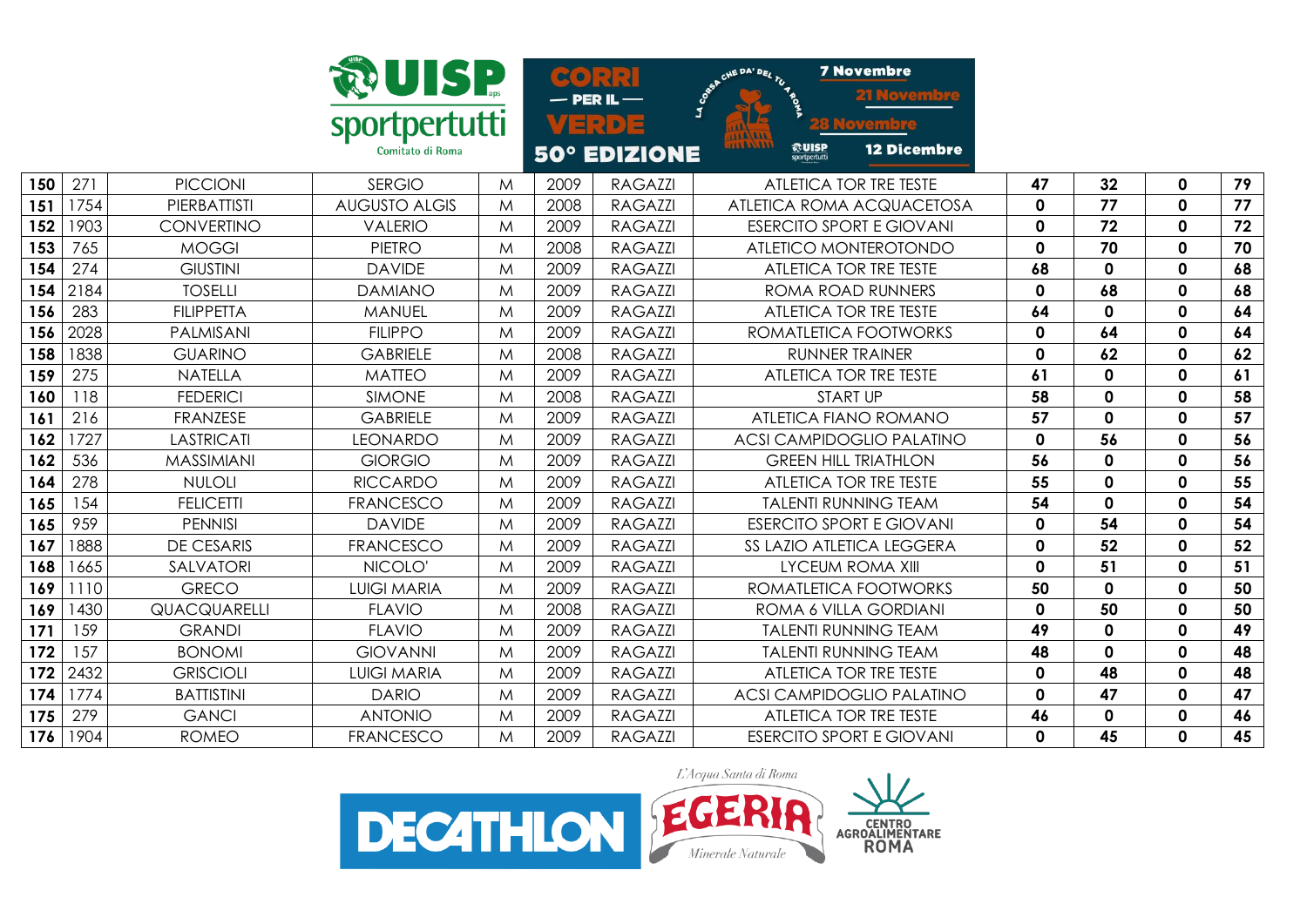|     |      |                     | <b>WUISP</b>         |   | $\infty$ |                     | CHE DA' DEL TU 4 BOS                     | <b>7 Novembre</b>                |              |             |              |    |
|-----|------|---------------------|----------------------|---|----------|---------------------|------------------------------------------|----------------------------------|--------------|-------------|--------------|----|
|     |      |                     | sportpertutti        |   |          | $\mathbb{R}$ D      | <b>TTA/ATT</b>                           |                                  |              |             |              |    |
|     |      |                     | Comitato di Roma     |   |          | <b>50° EDIZIONE</b> | 1141111<br><b>RUISP</b><br>sportpertutti | <b>12 Dicembre</b>               |              |             |              |    |
| 150 | 271  | <b>PICCIONI</b>     | <b>SERGIO</b>        | M | 2009     | <b>RAGAZZI</b>      |                                          | ATLETICA TOR TRE TESTE           | 47           | 32          | $\mathbf 0$  | 79 |
| 151 | 1754 | PIERBATTISTI        | <b>AUGUSTO ALGIS</b> | M | 2008     | <b>RAGAZZI</b>      |                                          | ATLETICA ROMA ACQUACETOSA        | $\mathbf{0}$ | 77          | $\mathbf{0}$ | 77 |
| 152 | 1903 | <b>CONVERTINO</b>   | <b>VALERIO</b>       | M | 2009     | <b>RAGAZZI</b>      |                                          | <b>ESERCITO SPORT E GIOVANI</b>  | $\mathbf 0$  | 72          | $\mathbf 0$  | 72 |
| 153 | 765  | <b>MOGGI</b>        | <b>PIETRO</b>        | M | 2008     | <b>RAGAZZI</b>      |                                          | ATLETICO MONTEROTONDO            | 0            | 70          | $\mathbf 0$  | 70 |
| 154 | 274  | <b>GIUSTINI</b>     | <b>DAVIDE</b>        | M | 2009     | <b>RAGAZZI</b>      |                                          | ATLETICA TOR TRE TESTE           | 68           | $\mathbf 0$ | $\mathbf{0}$ | 68 |
| 154 | 2184 | <b>TOSELLI</b>      | <b>DAMIANO</b>       | M | 2009     | <b>RAGAZZI</b>      |                                          | ROMA ROAD RUNNERS                | 0            | 68          | $\mathbf 0$  | 68 |
| 156 | 283  | <b>FILIPPETTA</b>   | <b>MANUEL</b>        | M | 2009     | <b>RAGAZZI</b>      |                                          | ATLETICA TOR TRE TESTE           | 64           | $\mathbf 0$ | $\mathbf{0}$ | 64 |
| 156 | 2028 | PALMISANI           | <b>FILIPPO</b>       | M | 2009     | <b>RAGAZZI</b>      |                                          | ROMATLETICA FOOTWORKS            | 0            | 64          | $\mathbf{0}$ | 64 |
| 158 | 1838 | <b>GUARINO</b>      | <b>GABRIELE</b>      | M | 2008     | <b>RAGAZZI</b>      |                                          | <b>RUNNER TRAINER</b>            | $\mathbf 0$  | 62          | $\mathbf 0$  | 62 |
| 159 | 275  | <b>NATELLA</b>      | <b>MATTEO</b>        | M | 2009     | <b>RAGAZZI</b>      |                                          | ATLETICA TOR TRE TESTE           | 61           | $\mathbf 0$ | $\mathbf 0$  | 61 |
| 160 | 118  | <b>FEDERICI</b>     | <b>SIMONE</b>        | M | 2008     | <b>RAGAZZI</b>      |                                          | <b>START UP</b>                  | 58           | $\mathbf 0$ | $\mathbf 0$  | 58 |
| 161 | 216  | FRANZESE            | <b>GABRIELE</b>      | M | 2009     | <b>RAGAZZI</b>      |                                          | ATLETICA FIANO ROMANO            | 57           | $\mathbf 0$ | $\mathbf{0}$ | 57 |
| 162 | 1727 | <b>LASTRICATI</b>   | <b>LEONARDO</b>      | M | 2009     | <b>RAGAZZI</b>      |                                          | <b>ACSI CAMPIDOGLIO PALATINO</b> | $\mathbf 0$  | 56          | $\mathbf 0$  | 56 |
| 162 | 536  | MASSIMIANI          | <b>GIORGIO</b>       | M | 2009     | <b>RAGAZZI</b>      |                                          | <b>GREEN HILL TRIATHLON</b>      | 56           | 0           | $\mathbf 0$  | 56 |
| 164 | 278  | <b>NULOLI</b>       | <b>RICCARDO</b>      | M | 2009     | <b>RAGAZZI</b>      |                                          | ATLETICA TOR TRE TESTE           | 55           | $\mathbf 0$ | $\mathbf{0}$ | 55 |
| 165 | 154  | <b>FELICETTI</b>    | <b>FRANCESCO</b>     | M | 2009     | <b>RAGAZZI</b>      |                                          | <b>TALENTI RUNNING TEAM</b>      | 54           | $\mathbf 0$ | 0            | 54 |
| 165 | 959  | <b>PENNISI</b>      | <b>DAVIDE</b>        | M | 2009     | <b>RAGAZZI</b>      |                                          | <b>ESERCITO SPORT E GIOVANI</b>  | $\mathbf 0$  | 54          | $\mathbf 0$  | 54 |
| 167 | 1888 | <b>DE CESARIS</b>   | <b>FRANCESCO</b>     | M | 2009     | <b>RAGAZZI</b>      |                                          | SS LAZIO ATLETICA LEGGERA        | 0            | 52          | $\mathbf{0}$ | 52 |
| 168 | 1665 | SALVATORI           | NICOLO'              | M | 2009     | <b>RAGAZZI</b>      |                                          | <b>LYCEUM ROMA XIII</b>          | $\mathbf 0$  | 51          | $\mathbf 0$  | 51 |
| 169 | 1110 | <b>GRECO</b>        | <b>LUIGI MARIA</b>   | M | 2009     | <b>RAGAZZI</b>      |                                          | ROMATLETICA FOOTWORKS            | 50           | $\mathbf 0$ | $\mathbf{0}$ | 50 |
| 169 | 1430 | <b>QUACQUARELLI</b> | <b>FLAVIO</b>        | M | 2008     | <b>RAGAZZI</b>      |                                          | ROMA 6 VILLA GORDIANI            | $\mathbf 0$  | 50          | $\mathbf 0$  | 50 |
| 171 | 159  | <b>GRANDI</b>       | <b>FLAVIO</b>        | M | 2009     | <b>RAGAZZI</b>      |                                          | <b>TALENTI RUNNING TEAM</b>      | 49           | $\mathbf 0$ | $\mathbf{0}$ | 49 |
| 172 | 157  | <b>BONOMI</b>       | <b>GIOVANNI</b>      | M | 2009     | <b>RAGAZZI</b>      |                                          | <b>TALENTI RUNNING TEAM</b>      | 48           | $\mathbf 0$ | $\mathbf 0$  | 48 |
| 172 | 2432 | <b>GRISCIOLI</b>    | <b>LUIGI MARIA</b>   | M | 2009     | <b>RAGAZZI</b>      |                                          | ATLETICA TOR TRE TESTE           | $\mathbf 0$  | 48          | $\mathbf 0$  | 48 |
| 174 | 1774 | <b>BATTISTINI</b>   | <b>DARIO</b>         | M | 2009     | <b>RAGAZZI</b>      |                                          | <b>ACSI CAMPIDOGLIO PALATINO</b> | $\mathbf 0$  | 47          | $\mathbf{0}$ | 47 |
| 175 | 279  | <b>GANCI</b>        | <b>ANTONIO</b>       | M | 2009     | <b>RAGAZZI</b>      |                                          | ATLETICA TOR TRE TESTE           | 46           | $\mathbf 0$ | $\mathbf 0$  | 46 |
| 176 | 1904 | <b>ROMEO</b>        | <b>FRANCESCO</b>     | M | 2009     | <b>RAGAZZI</b>      |                                          | <b>ESERCITO SPORT E GIOVANI</b>  | 0            | 45          | $\mathbf{0}$ | 45 |

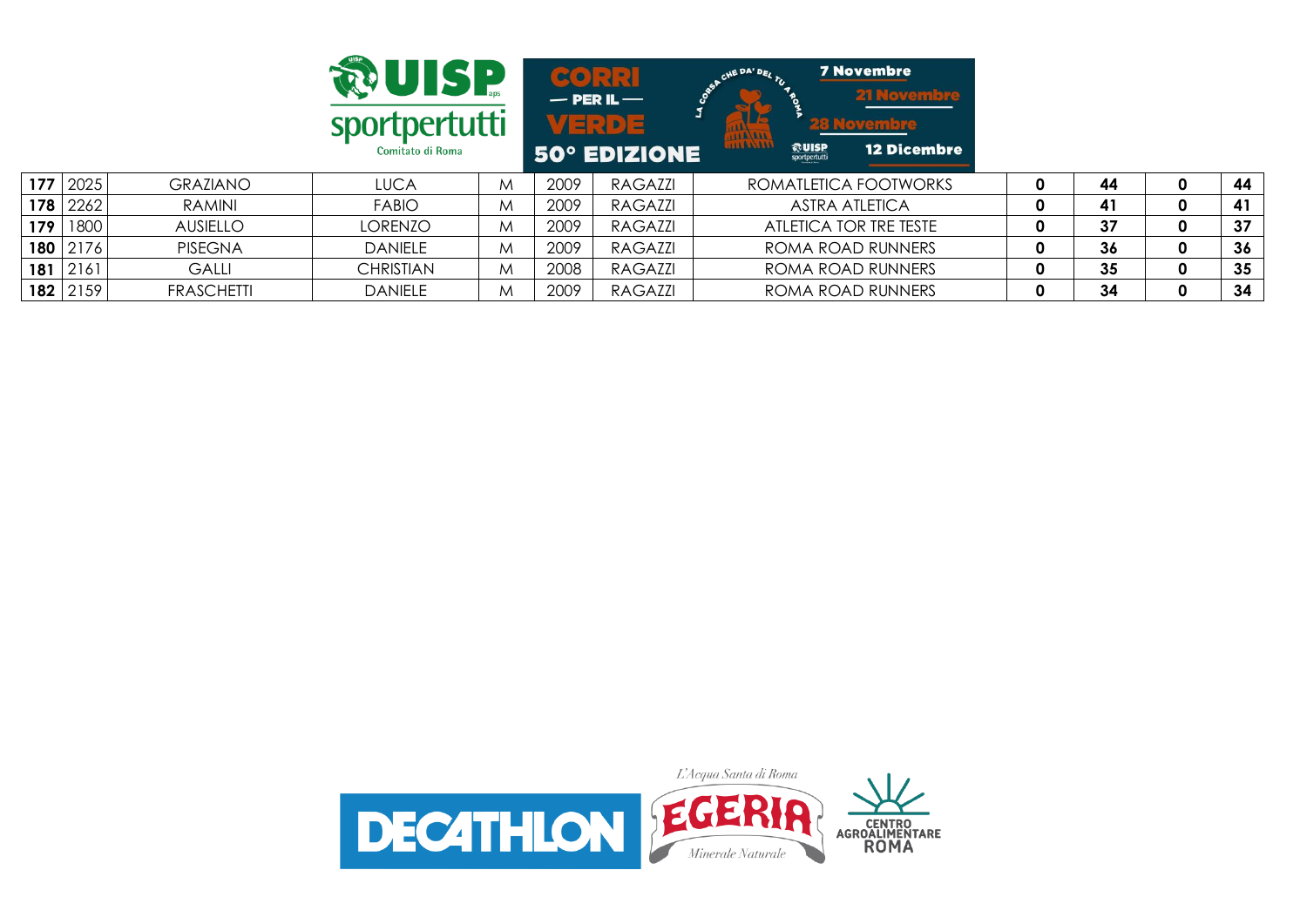|     |            |                   | <b>AUISP</b><br>sportpertutti<br>Comitato di Roma |   |      | $\sim$ $\sim$<br>$-$ PER IL $-$<br>VERDE<br><b>50° EDIZIONE</b> | <b>7 Novembre</b><br>CHE DA' DEL<br><b>21 Novembre</b><br><b>LE</b><br><b>28 Novembre</b><br><b>HALALL</b><br><b>HAAAAA</b><br><b>RUISP</b><br><b>12 Dicembre</b><br>sportpertutti |   |    |              |    |
|-----|------------|-------------------|---------------------------------------------------|---|------|-----------------------------------------------------------------|------------------------------------------------------------------------------------------------------------------------------------------------------------------------------------|---|----|--------------|----|
|     | 177 2025   | <b>GRAZIANO</b>   | <b>LUCA</b>                                       | M | 2009 | RAGAZZI                                                         | ROMATLETICA FOOTWORKS                                                                                                                                                              | Ω | 44 | 0            | 44 |
|     | $178$ 2262 | RAMINI            | <b>FABIO</b>                                      | M | 2009 | RAGAZZI                                                         | <b>ASTRA ATLETICA</b>                                                                                                                                                              | 0 | 41 | $\mathbf{0}$ | 41 |
| 179 | 1800       | <b>AUSIELLO</b>   | <b>LORENZO</b>                                    | M | 2009 | RAGAZZI                                                         | ATLETICA TOR TRE TESTE                                                                                                                                                             | 0 | 37 | $\mathbf{0}$ | 37 |
|     | 180 2176   | <b>PISEGNA</b>    | <b>DANIELE</b>                                    | M | 2009 | RAGAZZI                                                         | ROMA ROAD RUNNERS                                                                                                                                                                  | 0 | 36 | 0            | 36 |
|     | $181$ 2161 | <b>GALLI</b>      | <b>CHRISTIAN</b>                                  | M | 2008 | RAGAZZI                                                         | ROMA ROAD RUNNERS                                                                                                                                                                  | 0 | 35 | 0            | 35 |
|     | $182$ 2159 | <b>FRASCHETTI</b> | <b>DANIELE</b>                                    | M | 2009 | RAGAZZI                                                         | ROMA ROAD RUNNERS                                                                                                                                                                  | 0 | 34 | 0            | 34 |

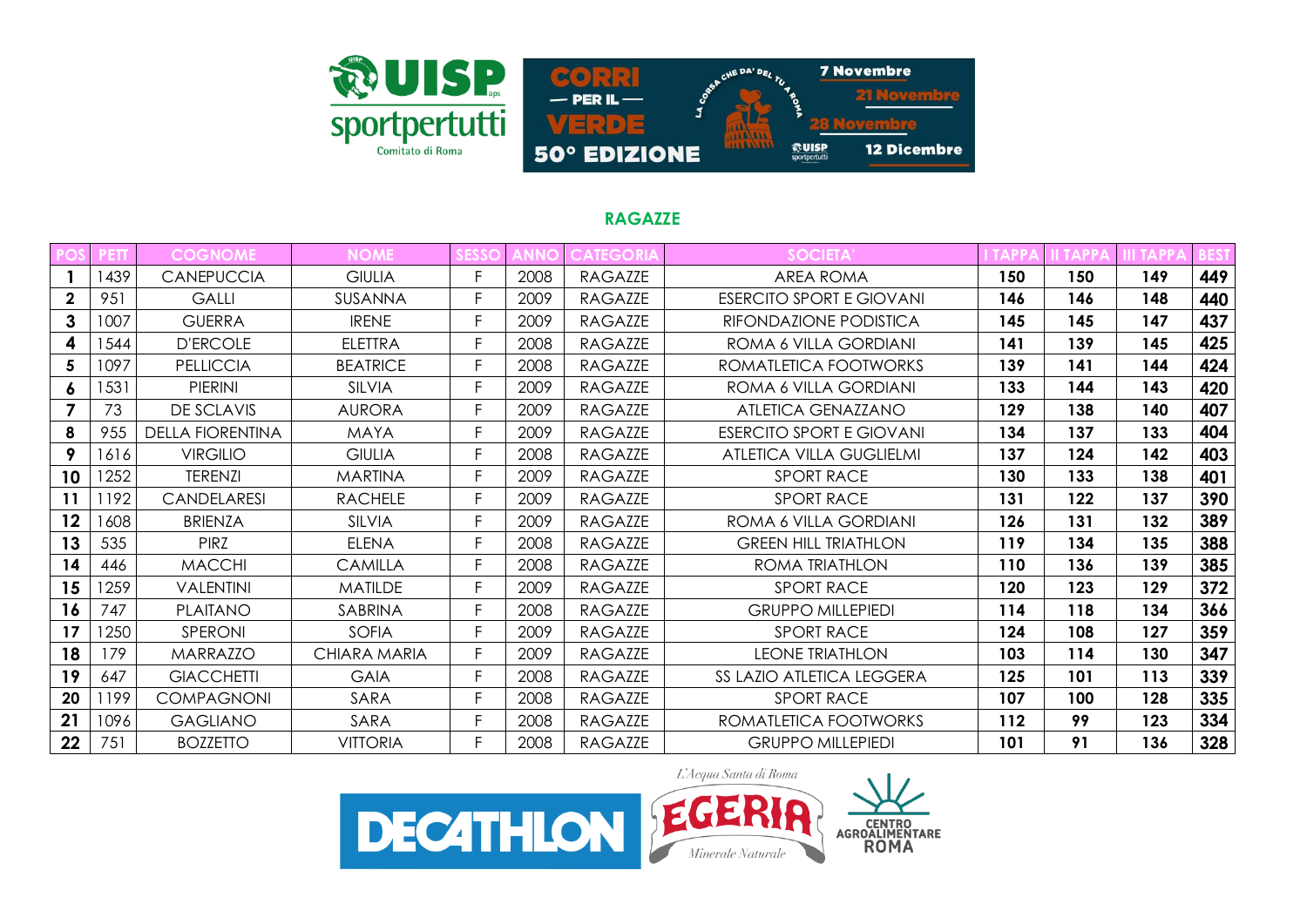

# **RAGAZZE**

|              |      | <b>COGNOME</b>          | <b>NOME</b>     |    | <b>NNO</b> | <b>CATEGORIA</b> | <b>SOCIETA'</b>                 |     |     |     |     |
|--------------|------|-------------------------|-----------------|----|------------|------------------|---------------------------------|-----|-----|-----|-----|
|              | 1439 | <b>CANEPUCCIA</b>       | <b>GIULIA</b>   |    | 2008       | <b>RAGAZZE</b>   | <b>AREA ROMA</b>                | 150 | 150 | 149 | 449 |
| $\mathbf{2}$ | 951  | <b>GALLI</b>            | SUSANNA         | F. | 2009       | <b>RAGAZZE</b>   | <b>ESERCITO SPORT E GIOVANI</b> | 146 | 146 | 148 | 440 |
| 3            | 1007 | <b>GUERRA</b>           | <b>IRENE</b>    | F. | 2009       | <b>RAGAZZE</b>   | RIFONDAZIONE PODISTICA          | 145 | 145 | 147 | 437 |
| 4            | 1544 | <b>D'ERCOLE</b>         | <b>ELETTRA</b>  | F  | 2008       | <b>RAGAZZE</b>   | ROMA 6 VILLA GORDIANI           | 141 | 139 | 145 | 425 |
| 5            | 1097 | <b>PELLICCIA</b>        | <b>BEATRICE</b> | Ė  | 2008       | <b>RAGAZZE</b>   | ROMATLETICA FOOTWORKS           | 139 | 141 | 144 | 424 |
| 6            | 1531 | <b>PIERINI</b>          | <b>SILVIA</b>   | F  | 2009       | <b>RAGAZZE</b>   | ROMA 6 VILLA GORDIANI           | 133 | 144 | 143 | 420 |
|              | 73   | <b>DE SCLAVIS</b>       | <b>AURORA</b>   | F  | 2009       | <b>RAGAZZE</b>   | ATLETICA GENAZZANO              | 129 | 138 | 140 | 407 |
| 8            | 955  | <b>DELLA FIORENTINA</b> | <b>MAYA</b>     | F  | 2009       | <b>RAGAZZE</b>   | <b>ESERCITO SPORT E GIOVANI</b> | 134 | 137 | 133 | 404 |
| 9            | 1616 | <b>VIRGILIO</b>         | <b>GIULIA</b>   | F  | 2008       | <b>RAGAZZE</b>   | ATLETICA VILLA GUGLIELMI        | 137 | 124 | 142 | 403 |
| 10           | 1252 | <b>TERENZI</b>          | <b>MARTINA</b>  |    | 2009       | <b>RAGAZZE</b>   | <b>SPORT RACE</b>               | 130 | 133 | 138 | 401 |
| 11           | 1192 | <b>CANDELARESI</b>      | <b>RACHELE</b>  | F  | 2009       | <b>RAGAZZE</b>   | <b>SPORT RACE</b>               | 131 | 122 | 137 | 390 |
| 12           | 1608 | <b>BRIENZA</b>          | <b>SILVIA</b>   | F  | 2009       | <b>RAGAZZE</b>   | ROMA 6 VILLA GORDIANI           | 126 | 131 | 132 | 389 |
| 13           | 535  | <b>PIRZ</b>             | <b>ELENA</b>    | F  | 2008       | <b>RAGAZZE</b>   | <b>GREEN HILL TRIATHLON</b>     | 119 | 134 | 135 | 388 |
| 14           | 446  | <b>MACCHI</b>           | <b>CAMILLA</b>  | F  | 2008       | RAGAZZE          | ROMA TRIATHLON                  | 110 | 136 | 139 | 385 |
| 15           | 1259 | <b>VALENTINI</b>        | <b>MATILDE</b>  |    | 2009       | <b>RAGAZZE</b>   | <b>SPORT RACE</b>               | 120 | 123 | 129 | 372 |
| 16           | 747  | <b>PLAITANO</b>         | SABRINA         | F. | 2008       | <b>RAGAZZE</b>   | <b>GRUPPO MILLEPIEDI</b>        | 114 | 118 | 134 | 366 |
| 17           | 250  | <b>SPERONI</b>          | <b>SOFIA</b>    | F. | 2009       | <b>RAGAZZE</b>   | <b>SPORT RACE</b>               | 124 | 108 | 127 | 359 |
| 18           | 179  | <b>MARRAZZO</b>         | CHIARA MARIA    | F  | 2009       | <b>RAGAZZE</b>   | <b>LEONE TRIATHLON</b>          | 103 | 114 | 130 | 347 |
| 19           | 647  | <b>GIACCHETTI</b>       | <b>GAIA</b>     | F  | 2008       | <b>RAGAZZE</b>   | SS LAZIO ATLETICA LEGGERA       | 125 | 101 | 113 | 339 |
| 20           | 1199 | <b>COMPAGNONI</b>       | SARA            |    | 2008       | <b>RAGAZZE</b>   | <b>SPORT RACE</b>               | 107 | 100 | 128 | 335 |
| 21           | 1096 | <b>GAGLIANO</b>         | SARA            |    | 2008       | <b>RAGAZZE</b>   | ROMATLETICA FOOTWORKS           | 112 | 99  | 123 | 334 |
| 22           | 751  | <b>BOZZETTO</b>         | <b>VITTORIA</b> |    | 2008       | <b>RAGAZZE</b>   | <b>GRUPPO MILLEPIEDI</b>        | 101 | 91  | 136 | 328 |

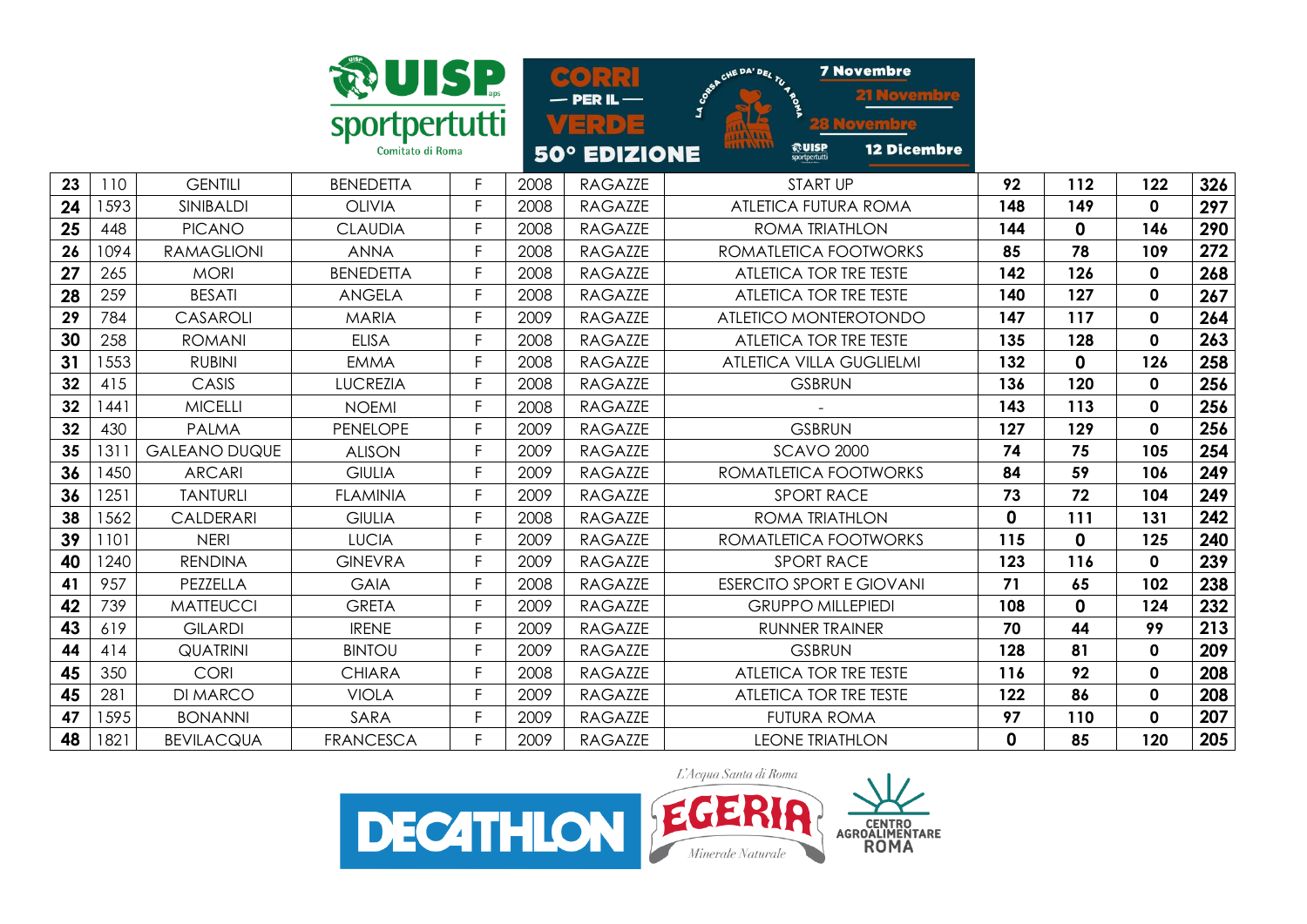| sportpertutti<br>Comitato di Roma |  |
|-----------------------------------|--|

CHE DA' DEL TU **7 Novembre**  $<sub>0</sub>$ </sub> loven **PER IL-**ERDE <u>remore</u> **<u>***<u>Routse</u>*</u> **12 Dicembre** 50° EDIZIONE

| 23 | 110  | <b>GENTILI</b>       | <b>BENEDETTA</b> |    | 2008 | <b>RAGAZZE</b> | START UP                        | 92           | 112         | 122          | 326 |
|----|------|----------------------|------------------|----|------|----------------|---------------------------------|--------------|-------------|--------------|-----|
| 24 | 1593 | SINIBALDI            | <b>OLIVIA</b>    | F  | 2008 | RAGAZZE        | ATLETICA FUTURA ROMA            | 148          | 149         | $\mathbf{0}$ | 297 |
| 25 | 448  | <b>PICANO</b>        | <b>CLAUDIA</b>   | F  | 2008 | <b>RAGAZZE</b> | ROMA TRIATHLON                  | 144          | $\mathbf 0$ | 146          | 290 |
| 26 | 1094 | <b>RAMAGLIONI</b>    | <b>ANNA</b>      |    | 2008 | <b>RAGAZZE</b> | ROMATLETICA FOOTWORKS           | 85           | 78          | 109          | 272 |
| 27 | 265  | <b>MORI</b>          | <b>BENEDETTA</b> | F  | 2008 | <b>RAGAZZE</b> | ATLETICA TOR TRE TESTE          | 142          | 126         | $\mathbf 0$  | 268 |
| 28 | 259  | <b>BESATI</b>        | <b>ANGELA</b>    | F  | 2008 | <b>RAGAZZE</b> | ATLETICA TOR TRE TESTE          | 140          | 127         | $\mathbf{0}$ | 267 |
| 29 | 784  | CASAROLI             | <b>MARIA</b>     | F  | 2009 | RAGAZZE        | ATLETICO MONTEROTONDO           | 147          | 117         | $\mathbf{0}$ | 264 |
| 30 | 258  | <b>ROMANI</b>        | <b>ELISA</b>     |    | 2008 | <b>RAGAZZE</b> | ATLETICA TOR TRE TESTE          | 135          | 128         | $\mathbf{0}$ | 263 |
| 31 | 1553 | <b>RUBINI</b>        | <b>EMMA</b>      |    | 2008 | RAGAZZE        | ATLETICA VILLA GUGLIELMI        | 132          | 0           | 126          | 258 |
| 32 | 415  | CASIS                | <b>LUCREZIA</b>  |    | 2008 | RAGAZZE        | <b>GSBRUN</b>                   | 136          | 120         | $\mathbf 0$  | 256 |
| 32 | 1441 | <b>MICELLI</b>       | <b>NOEMI</b>     |    | 2008 | RAGAZZE        |                                 | 143          | 113         | $\mathbf 0$  | 256 |
| 32 | 430  | <b>PALMA</b>         | <b>PENELOPE</b>  | F  | 2009 | <b>RAGAZZE</b> | <b>GSBRUN</b>                   | 127          | 129         | $\mathbf 0$  | 256 |
| 35 | 1311 | <b>GALEANO DUQUE</b> | <b>ALISON</b>    | F  | 2009 | RAGAZZE        | <b>SCAVO 2000</b>               | 74           | 75          | 105          | 254 |
| 36 | 1450 | <b>ARCARI</b>        | <b>GIULIA</b>    | F  | 2009 | <b>RAGAZZE</b> | ROMATLETICA FOOTWORKS           | 84           | 59          | 106          | 249 |
| 36 | 1251 | <b>TANTURLI</b>      | <b>FLAMINIA</b>  | F  | 2009 | <b>RAGAZZE</b> | <b>SPORT RACE</b>               | 73           | 72          | 104          | 249 |
| 38 | 1562 | <b>CALDERARI</b>     | <b>GIULIA</b>    | F  | 2008 | <b>RAGAZZE</b> | ROMA TRIATHLON                  | $\mathbf{0}$ | 111         | 131          | 242 |
| 39 | 1101 | <b>NERI</b>          | <b>LUCIA</b>     |    | 2009 | RAGAZZE        | ROMATLETICA FOOTWORKS           | 115          | 0           | 125          | 240 |
| 40 | 1240 | <b>RENDINA</b>       | <b>GINEVRA</b>   |    | 2009 | <b>RAGAZZE</b> | <b>SPORT RACE</b>               | 123          | 116         | $\mathbf{0}$ | 239 |
| 41 | 957  | PEZZELLA             | <b>GAIA</b>      |    | 2008 | <b>RAGAZZE</b> | <b>ESERCITO SPORT E GIOVANI</b> | 71           | 65          | 102          | 238 |
| 42 | 739  | <b>MATTEUCCI</b>     | <b>GRETA</b>     |    | 2009 | <b>RAGAZZE</b> | <b>GRUPPO MILLEPIEDI</b>        | 108          | 0           | 124          | 232 |
| 43 | 619  | <b>GILARDI</b>       | <b>IRENE</b>     | E  | 2009 | <b>RAGAZZE</b> | <b>RUNNER TRAINER</b>           | 70           | 44          | 99           | 213 |
| 44 | 414  | <b>QUATRINI</b>      | <b>BINTOU</b>    | F  | 2009 | RAGAZZE        | <b>GSBRUN</b>                   | 128          | 81          | $\mathbf{0}$ | 209 |
| 45 | 350  | <b>CORI</b>          | <b>CHIARA</b>    | F  | 2008 | RAGAZZE        | ATLETICA TOR TRE TESTE          | 116          | 92          | $\mathbf{0}$ | 208 |
| 45 | 281  | <b>DI MARCO</b>      | <b>VIOLA</b>     | F. | 2009 | <b>RAGAZZE</b> | ATLETICA TOR TRE TESTE          | 122          | 86          | $\mathbf 0$  | 208 |
| 47 | 1595 | <b>BONANNI</b>       | SARA             | F  | 2009 | RAGAZZE        | <b>FUTURA ROMA</b>              | 97           | 110         | 0            | 207 |
| 48 | 1821 | <b>BEVILACQUA</b>    | <b>FRANCESCA</b> |    | 2009 | <b>RAGAZZE</b> | <b>LEONE TRIATHLON</b>          | 0            | 85          | 120          | 205 |

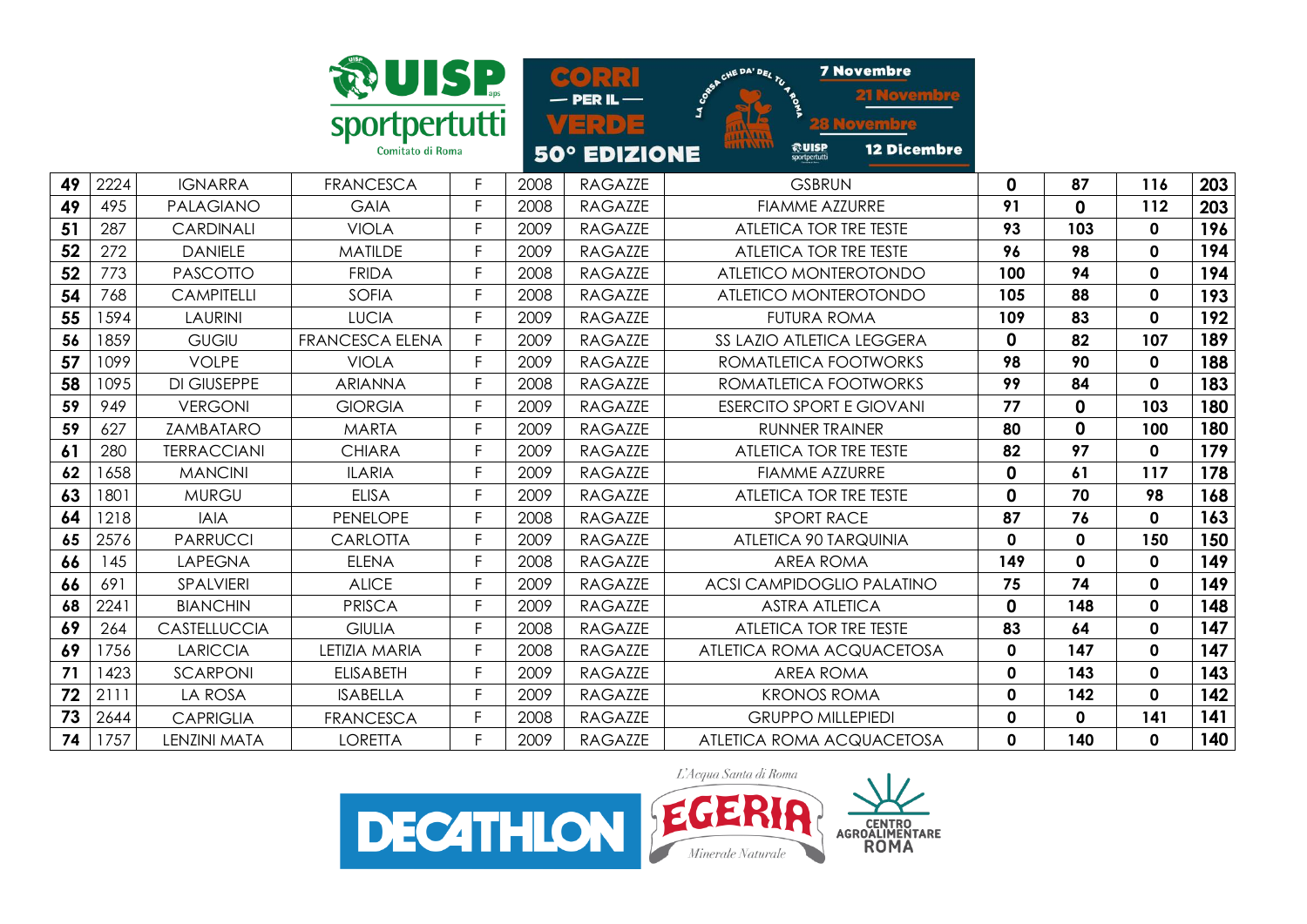

**7 Novembre**  $-$  PER IL  $-$ VERDE <u>tovembre</u> **@UISP 12 Dicembre 50° EDIZIONE** 

| 49 | 2224 | <b>IGNARRA</b>            | <b>FRANCESCA</b>       |   | 2008 | RAGAZZE        | <b>GSBRUN</b>                   | 0            | 87  | 116 | 203 |
|----|------|---------------------------|------------------------|---|------|----------------|---------------------------------|--------------|-----|-----|-----|
| 49 | 495  | <b>PALAGIANO</b>          | <b>GAIA</b>            |   | 2008 | <b>RAGAZZE</b> | <b>FIAMME AZZURRE</b>           | 91           | 0   | 112 | 203 |
| 51 | 287  | CARDINALI                 | <b>VIOLA</b>           |   | 2009 | <b>RAGAZZE</b> | ATLETICA TOR TRE TESTE          | 93           | 103 | 0   | 196 |
| 52 | 272  | <b>DANIELE</b>            | <b>MATILDE</b>         |   | 2009 | <b>RAGAZZE</b> | ATLETICA TOR TRE TESTE          | 96           | 98  | 0   | 194 |
| 52 | 773  | <b>PASCOTTO</b>           | <b>FRIDA</b>           |   | 2008 | <b>RAGAZZE</b> | ATLETICO MONTEROTONDO           | 100          | 94  | 0   | 194 |
| 54 | 768  | <b>CAMPITELLI</b>         | <b>SOFIA</b>           |   | 2008 | RAGAZZE        | ATLETICO MONTEROTONDO           | 105          | 88  | 0   | 193 |
| 55 | 1594 | <b>LAURINI</b>            | <b>LUCIA</b>           |   | 2009 | <b>RAGAZZE</b> | FUTURA ROMA                     | 109          | 83  | 0   | 192 |
| 56 | 1859 | <b>GUGIU</b>              | <b>FRANCESCA ELENA</b> |   | 2009 | RAGAZZE        | SS LAZIO ATLETICA LEGGERA       | $\mathbf{0}$ | 82  | 107 | 189 |
| 57 | 1099 | <b>VOLPE</b>              | VIOLA                  |   | 2009 | RAGAZZE        | ROMATLETICA FOOTWORKS           | 98           | 90  | 0   | 188 |
| 58 | 1095 | <b>DI GIUSEPPE</b>        | <b>ARIANNA</b>         |   | 2008 | <b>RAGAZZE</b> | ROMATLETICA FOOTWORKS           | 99           | 84  | 0   | 183 |
| 59 | 949  | <b>VERGONI</b>            | <b>GIORGIA</b>         |   | 2009 | <b>RAGAZZE</b> | <b>ESERCITO SPORT E GIOVANI</b> | 77           | 0   | 103 | 180 |
| 59 | 627  | <b>ZAMBATARO</b>          | <b>MARTA</b>           |   | 2009 | <b>RAGAZZE</b> | <b>RUNNER TRAINER</b>           | 80           | 0   | 100 | 180 |
| 61 | 280  | <b><i>TERRACCIANI</i></b> | <b>CHIARA</b>          | F | 2009 | <b>RAGAZZE</b> | ATLETICA TOR TRE TESTE          | 82           | 97  | 0   | 179 |
| 62 | 658  | <b>MANCINI</b>            | <b>ILARIA</b>          | F | 2009 | <b>RAGAZZE</b> | <b>FIAMME AZZURRE</b>           | $\mathbf{0}$ | 61  | 117 | 178 |
| 63 | 1801 | <b>MURGU</b>              | <b>ELISA</b>           |   | 2009 | RAGAZZE        | ATLETICA TOR TRE TESTE          | 0            | 70  | 98  | 168 |
| 64 | 1218 | <b>IAIA</b>               | <b>PENELOPE</b>        | F | 2008 | RAGAZZE        | <b>SPORT RACE</b>               | 87           | 76  | 0   | 163 |
|    |      |                           |                        |   |      |                |                                 |              |     |     |     |



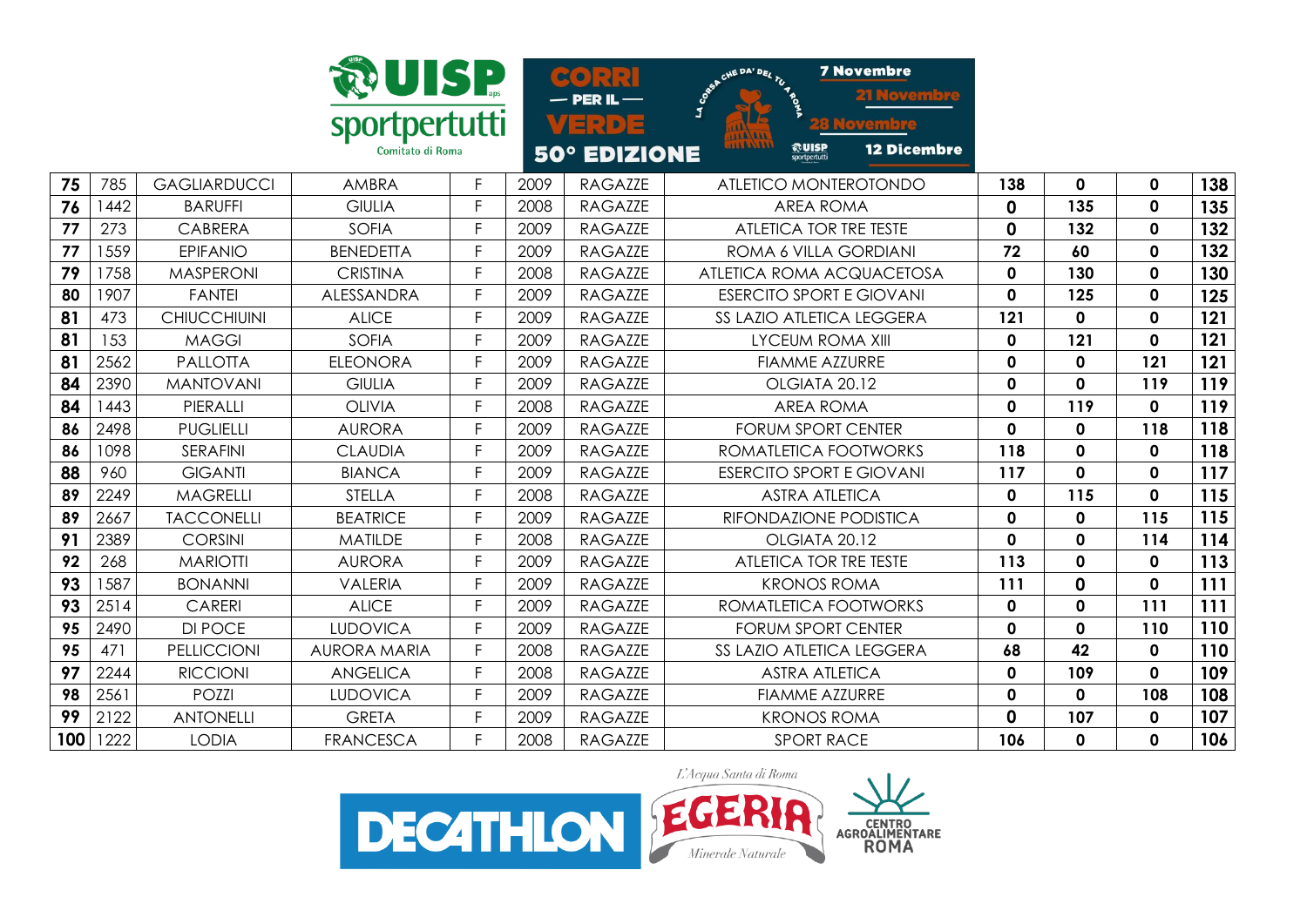| sportpertutti<br>Comitato di Roma |
|-----------------------------------|

CHE DA' DEL TU **7 Novembre** @UISP **12 Dicembre FIALE** 

|    |           |                     |                  |       | <b><i>BU EDILIUNE</i></b>     | sportpertutti                   |              |              |     |     |
|----|-----------|---------------------|------------------|-------|-------------------------------|---------------------------------|--------------|--------------|-----|-----|
| 75 | 785       | <b>GAGLIARDUCCI</b> | AMBRA            | 2009  | RAGAZZE                       | ATLETICO MONTEROTONDO           | 138          | 0            | 0   | 138 |
| 76 | 442       | <b>BARUFFI</b>      | <b>GIULIA</b>    | 2008  | RAGAZZE                       | AREA ROMA                       |              | 135          | 0   | 135 |
| 77 | 273       | <b>CABRERA</b>      | <b>SOFIA</b>     | 2009  | RAGAZZE                       | ATLETICA TOR TRE TESTE          |              | 132          | 0   | 132 |
| 77 | 559       | <b>EPIFANIO</b>     | <b>BENEDETTA</b> | 2009  | RAGAZZE                       | ROMA 6 VILLA GORDIANI           | 72           | 60           | 0   | 132 |
| 79 | 758       | <b>MASPERONI</b>    | <b>CRISTINA</b>  | 2008  | RAGAZZE                       | ATLETICA ROMA ACQUACETOSA       | 0            | 130          | 0   | 130 |
| 80 | 1907      | <b>FANTEI</b>       | ALESSANDRA       | 2009  | RAGAZZE                       | <b>ESERCITO SPORT E GIOVANI</b> | 0            | 125          | 0   | 125 |
| 81 | 473       | <b>CHIUCCHIUINI</b> | <b>ALICE</b>     | 2009  | RAGAZZE                       | SS LAZIO ATLETICA LEGGERA       | 121          | 0            | 0   | 121 |
| 81 | 153       | <b>MAGGI</b>        | <b>SOFIA</b>     | 2009  | RAGAZZE                       | LYCEUM ROMA XIII                | 0            | 121          | 0   | 121 |
| 81 | 2562      | <b>PALLOTTA</b>     | <b>ELEONORA</b>  | 2009  | RAGAZZE                       | <b>FIAMME AZZURRE</b>           | 0            | 0            | 121 | 121 |
|    | 24   2390 | <b>MANTOVANI</b>    | CIIIIA           | ാഗ്നാ | $R \triangle C \triangle 77F$ | $\bigcap$ CIATA $\bigcap$ 12    | <sup>n</sup> | <sup>n</sup> | 110 | 119 |

| $\mathbf{O}$ i | 47 ټ | <b>UNIUUUNI</b>    | ALIVE            |    | ZUU 7 | <b>KAUALLE</b> | <u>SS LAZIU AILEIIUA LEUUENA</u> | 14 L         | u        | v            | Z   |
|----------------|------|--------------------|------------------|----|-------|----------------|----------------------------------|--------------|----------|--------------|-----|
| 81             | 153  | <b>MAGGI</b>       | <b>SOFIA</b>     |    | 2009  | <b>RAGAZZE</b> | LYCEUM ROMA XIII                 | 0            | 121      | $\mathbf 0$  | 121 |
| 81             | 2562 | <b>PALLOTTA</b>    | <b>ELEONORA</b>  |    | 2009  | <b>RAGAZZE</b> | <b>FIAMME AZZURRE</b>            | $\mathbf{0}$ | 0        | 121          | 121 |
| 84             | 2390 | <b>MANTOVANI</b>   | <b>GIULIA</b>    |    | 2009  | <b>RAGAZZE</b> | OLGIATA 20.12                    | 0            | $\Omega$ | 119          | 119 |
| 84             | 443  | PIERALLI           | <b>OLIVIA</b>    |    | 2008  | <b>RAGAZZE</b> | <b>AREA ROMA</b>                 | 0            | 119      | $\mathbf{0}$ | 119 |
| 86             | 2498 | <b>PUGLIELLI</b>   | <b>AURORA</b>    |    | 2009  | <b>RAGAZZE</b> | <b>FORUM SPORT CENTER</b>        | 0            | 0        | 118          | 118 |
| 86             | 1098 | <b>SERAFINI</b>    | <b>CLAUDIA</b>   | F. | 2009  | <b>RAGAZZE</b> | ROMATLETICA FOOTWORKS            | 118          | $\Omega$ | $\mathbf 0$  | 118 |
| 88             | 960  | <b>GIGANTI</b>     | <b>BIANCA</b>    | F. | 2009  | <b>RAGAZZE</b> | <b>ESERCITO SPORT E GIOVANI</b>  | 117          | $\Omega$ | $\mathbf 0$  | 117 |
| 89             | 2249 | <b>MAGRELLI</b>    | <b>STELLA</b>    |    | 2008  | <b>RAGAZZE</b> | <b>ASTRA ATLETICA</b>            | 0            | 115      | $\mathbf{0}$ | 115 |
| 89             | 2667 | <b>TACCONELLI</b>  | <b>BEATRICE</b>  |    | 2009  | <b>RAGAZZE</b> | RIFONDAZIONE PODISTICA           | $\mathbf{0}$ | 0        | 115          | 115 |
| 91             | 2389 | <b>CORSINI</b>     | <b>MATILDE</b>   |    | 2008  | <b>RAGAZZE</b> | OLGIATA 20.12                    | 0            | 0        | 114          | 114 |
| 92             | 268  | <b>MARIOTTI</b>    | <b>AURORA</b>    |    | 2009  | <b>RAGAZZE</b> | ATLETICA TOR TRE TESTE           | 113          | 0        | $\mathbf{0}$ | 113 |
| 93             | 587  | <b>BONANNI</b>     | <b>VALERIA</b>   |    | 2009  | <b>RAGAZZE</b> | <b>KRONOS ROMA</b>               | 111          | $\Omega$ | 0            | 111 |
| 93             | 2514 | CARERI             | <b>ALICE</b>     |    | 2009  | <b>RAGAZZE</b> | ROMATLETICA FOOTWORKS            | $\mathbf{0}$ | 0        | 111          | 111 |
| 95             | 2490 | DI POCE            | <b>LUDOVICA</b>  | F  | 2009  | <b>RAGAZZE</b> | <b>FORUM SPORT CENTER</b>        | $\mathbf{0}$ | 0        | 110          | 110 |
| 95             | 471  | <b>PELLICCIONI</b> | AURORA MARIA     | F. | 2008  | <b>RAGAZZE</b> | SS LAZIO ATLETICA LEGGERA        | 68           | 42       | $\mathbf 0$  | 110 |
| 97             | 2244 | <b>RICCIONI</b>    | <b>ANGELICA</b>  |    | 2008  | RAGAZZE        | <b>ASTRA ATLETICA</b>            | 0            | 109      | 0            | 109 |
| 98             | 2561 | POZZI              | <b>LUDOVICA</b>  |    | 2009  | RAGAZZE        | FIAMME AZZURRE                   | 0            | 0        | 108          | 108 |
| 99             | 2122 | <b>ANTONELLI</b>   | <b>GRETA</b>     |    | 2009  | <b>RAGAZZE</b> | <b>KRONOS ROMA</b>               | 0            | 107      | $\mathbf 0$  | 107 |
| 100            | 1222 | <b>LODIA</b>       | <b>FRANCESCA</b> |    | 2008  | <b>RAGAZZE</b> | <b>SPORT RACE</b>                | 106          | 0        | 0            | 106 |
|                |      |                    |                  |    |       |                |                                  |              |          |              |     |

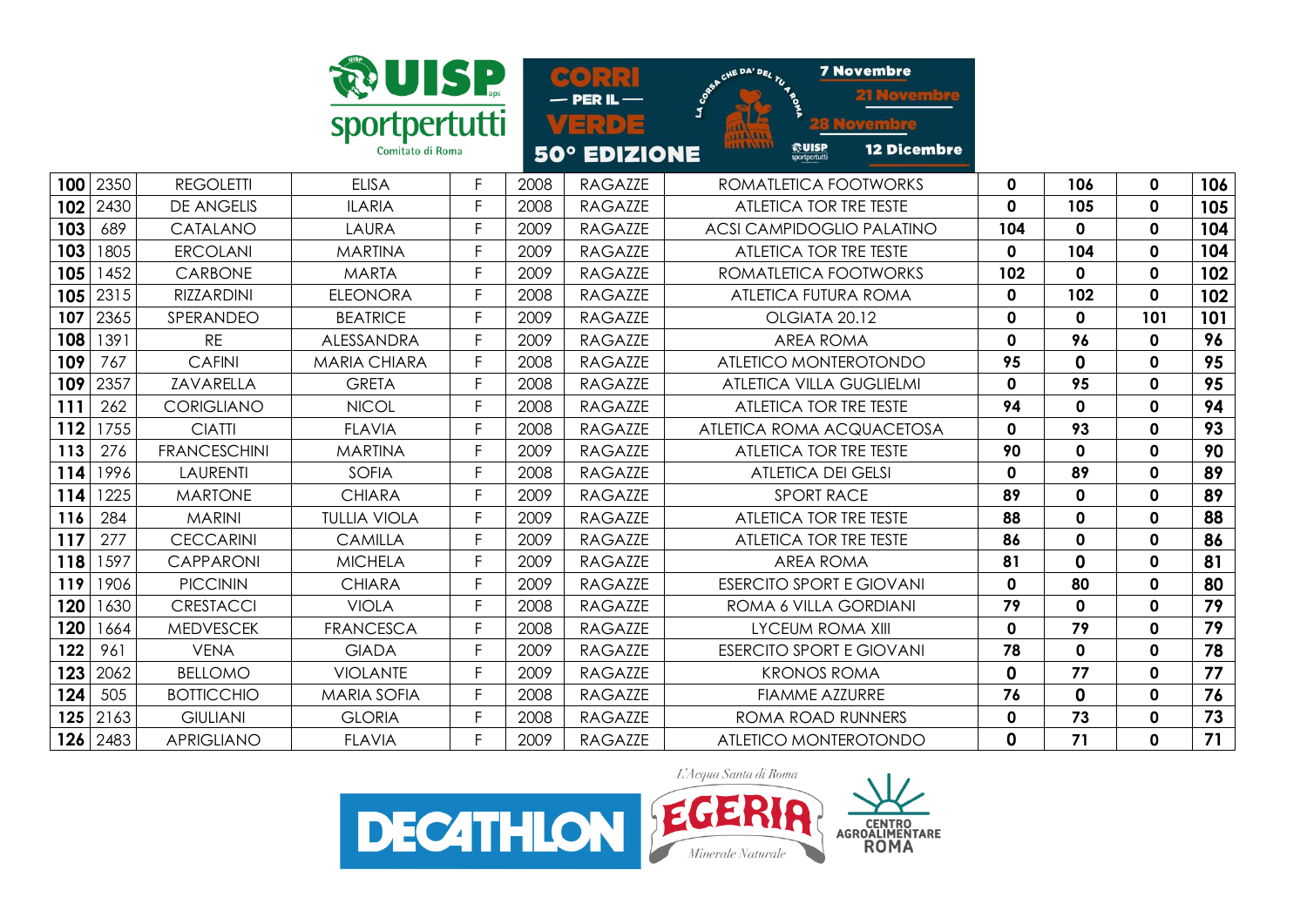|     |      |                     | <b>@UISP</b>                      |    |      | $\sim$<br>$\cdot$ PER IL $-$    | <b>7 Novembre</b><br>CHE DA' DEL TU<br>J                              |              |              |              |     |
|-----|------|---------------------|-----------------------------------|----|------|---------------------------------|-----------------------------------------------------------------------|--------------|--------------|--------------|-----|
|     |      |                     | sportpertutti<br>Comitato di Roma |    |      | [H] D] 다<br><b>50° EDIZIONE</b> | <b>AAAAAAA</b><br><b>@UISP</b><br><b>12 Dicembre</b><br>sportpertutti |              |              |              |     |
| 100 | 2350 | <b>REGOLETTI</b>    | <b>ELISA</b>                      | F  | 2008 | <b>RAGAZZE</b>                  | ROMATLETICA FOOTWORKS                                                 | $\mathbf 0$  | 106          | $\mathbf 0$  | 106 |
| 102 | 2430 | <b>DE ANGELIS</b>   | <b>ILARIA</b>                     | F  | 2008 | <b>RAGAZZE</b>                  | ATLETICA TOR TRE TESTE                                                | $\mathbf 0$  | 105          | $\mathbf 0$  | 105 |
| 103 | 689  | CATALANO            | LAURA                             | F. | 2009 | <b>RAGAZZE</b>                  | <b>ACSI CAMPIDOGLIO PALATINO</b>                                      | 104          | $\mathbf{0}$ | $\mathbf 0$  | 104 |
| 103 | 1805 | <b>ERCOLANI</b>     | <b>MARTINA</b>                    | F  | 2009 | <b>RAGAZZE</b>                  | ATLETICA TOR TRE TESTE                                                | $\mathbf{0}$ | 104          | $\mathbf 0$  | 104 |
| 105 | 1452 | <b>CARBONE</b>      | <b>MARTA</b>                      | F  | 2009 | <b>RAGAZZE</b>                  | ROMATLETICA FOOTWORKS                                                 | 102          | 0            | 0            | 102 |
| 105 | 2315 | <b>RIZZARDINI</b>   | <b>ELEONORA</b>                   | F  | 2008 | <b>RAGAZZE</b>                  | <b>ATLETICA FUTURA ROMA</b>                                           | $\mathbf 0$  | 102          | $\mathbf 0$  | 102 |
| 107 | 2365 | SPERANDEO           | <b>BEATRICE</b>                   | F  | 2009 | <b>RAGAZZE</b>                  | OLGIATA 20.12                                                         | $\mathbf 0$  | $\mathbf{0}$ | 101          | 101 |
| 108 | 1391 | <b>RE</b>           | ALESSANDRA                        | F  | 2009 | <b>RAGAZZE</b>                  | <b>AREA ROMA</b>                                                      | $\mathbf 0$  | 96           | 0            | 96  |
| 109 | 767  | <b>CAFINI</b>       | <b>MARIA CHIARA</b>               | F  | 2008 | <b>RAGAZZE</b>                  | ATLETICO MONTEROTONDO                                                 | 95           | 0            | $\mathbf 0$  | 95  |
| 109 | 2357 | ZAVARELLA           | <b>GRETA</b>                      | F  | 2008 | <b>RAGAZZE</b>                  | <b>ATLETICA VILLA GUGLIELMI</b>                                       | $\mathbf{0}$ | 95           | $\mathbf 0$  | 95  |
| 111 | 262  | <b>CORIGLIANO</b>   | <b>NICOL</b>                      | F  | 2008 | <b>RAGAZZE</b>                  | ATLETICA TOR TRE TESTE                                                | 94           | $\mathbf{0}$ | 0            | 94  |
| 112 | 1755 | <b>CIATTI</b>       | <b>FLAVIA</b>                     | F  | 2008 | <b>RAGAZZE</b>                  | ATLETICA ROMA ACQUACETOSA                                             | $\mathbf 0$  | 93           | $\mathbf 0$  | 93  |
| 113 | 276  | <b>FRANCESCHINI</b> | <b>MARTINA</b>                    | F  | 2009 | <b>RAGAZZE</b>                  | ATLETICA TOR TRE TESTE                                                | 90           | $\Omega$     | $\mathbf{0}$ | 90  |
| 114 | 1996 | <b>LAURENTI</b>     | <b>SOFIA</b>                      | F  | 2008 | <b>RAGAZZE</b>                  | <b>ATLETICA DEI GELSI</b>                                             | $\mathbf{0}$ | 89           | 0            | 89  |
| 114 | 1225 | <b>MARTONE</b>      | <b>CHIARA</b>                     | F  | 2009 | <b>RAGAZZE</b>                  | <b>SPORT RACE</b>                                                     | 89           | $\mathbf 0$  | $\mathbf 0$  | 89  |
| 116 | 284  | <b>MARINI</b>       | <b>TULLIA VIOLA</b>               | F  | 2009 | <b>RAGAZZE</b>                  | ATLETICA TOR TRE TESTE                                                | 88           | 0            | $\mathbf{0}$ | 88  |
| 117 | 277  | <b>CECCARINI</b>    | <b>CAMILLA</b>                    | F  | 2009 | <b>RAGAZZE</b>                  | ATLETICA TOR TRE TESTE                                                | 86           | $\mathbf{0}$ | $\mathbf 0$  | 86  |
| 118 | 1597 | <b>CAPPARONI</b>    | <b>MICHELA</b>                    | F  | 2009 | <b>RAGAZZE</b>                  | <b>AREA ROMA</b>                                                      | 81           | 0            | $\mathbf 0$  | 81  |
| 119 | 1906 | <b>PICCININ</b>     | <b>CHIARA</b>                     | F. | 2009 | <b>RAGAZZE</b>                  | <b>ESERCITO SPORT E GIOVANI</b>                                       | $\mathbf{0}$ | 80           | $\mathbf{0}$ | 80  |
| 120 | 1630 | <b>CRESTACCI</b>    | <b>VIOLA</b>                      | F  | 2008 | <b>RAGAZZE</b>                  | ROMA 6 VILLA GORDIANI                                                 | 79           | $\mathbf{0}$ | 0            | 79  |
| 120 | 1664 | <b>MEDVESCEK</b>    | <b>FRANCESCA</b>                  | F  | 2008 | <b>RAGAZZE</b>                  | <b>LYCEUM ROMA XIII</b>                                               | $\mathbf 0$  | 79           | $\mathbf 0$  | 79  |
| 122 | 961  | <b>VENA</b>         | <b>GIADA</b>                      | F  | 2009 | <b>RAGAZZE</b>                  | <b>ESERCITO SPORT E GIOVANI</b>                                       | 78           | 0            | $\mathbf 0$  | 78  |
| 123 | 2062 | <b>BELLOMO</b>      | <b>VIOLANTE</b>                   | F  | 2009 | <b>RAGAZZE</b>                  | <b>KRONOS ROMA</b>                                                    | 0            | 77           | $\mathbf 0$  | 77  |
| 124 | 505  | <b>BOTTICCHIO</b>   | <b>MARIA SOFIA</b>                | F  | 2008 | <b>RAGAZZE</b>                  | <b>FIAMME AZZURRE</b>                                                 | 76           | 0            | $\mathbf 0$  | 76  |
| 125 | 2163 | <b>GIULIANI</b>     | <b>GLORIA</b>                     | F. | 2008 | <b>RAGAZZE</b>                  | ROMA ROAD RUNNERS                                                     | $\mathbf 0$  | 73           | $\mathbf 0$  | 73  |
| 126 | 2483 | <b>APRIGLIANO</b>   | <b>FLAVIA</b>                     | F. | 2009 | <b>RAGAZZE</b>                  | ATLETICO MONTEROTONDO                                                 | $\mathbf 0$  | 71           | $\mathbf 0$  | 71  |

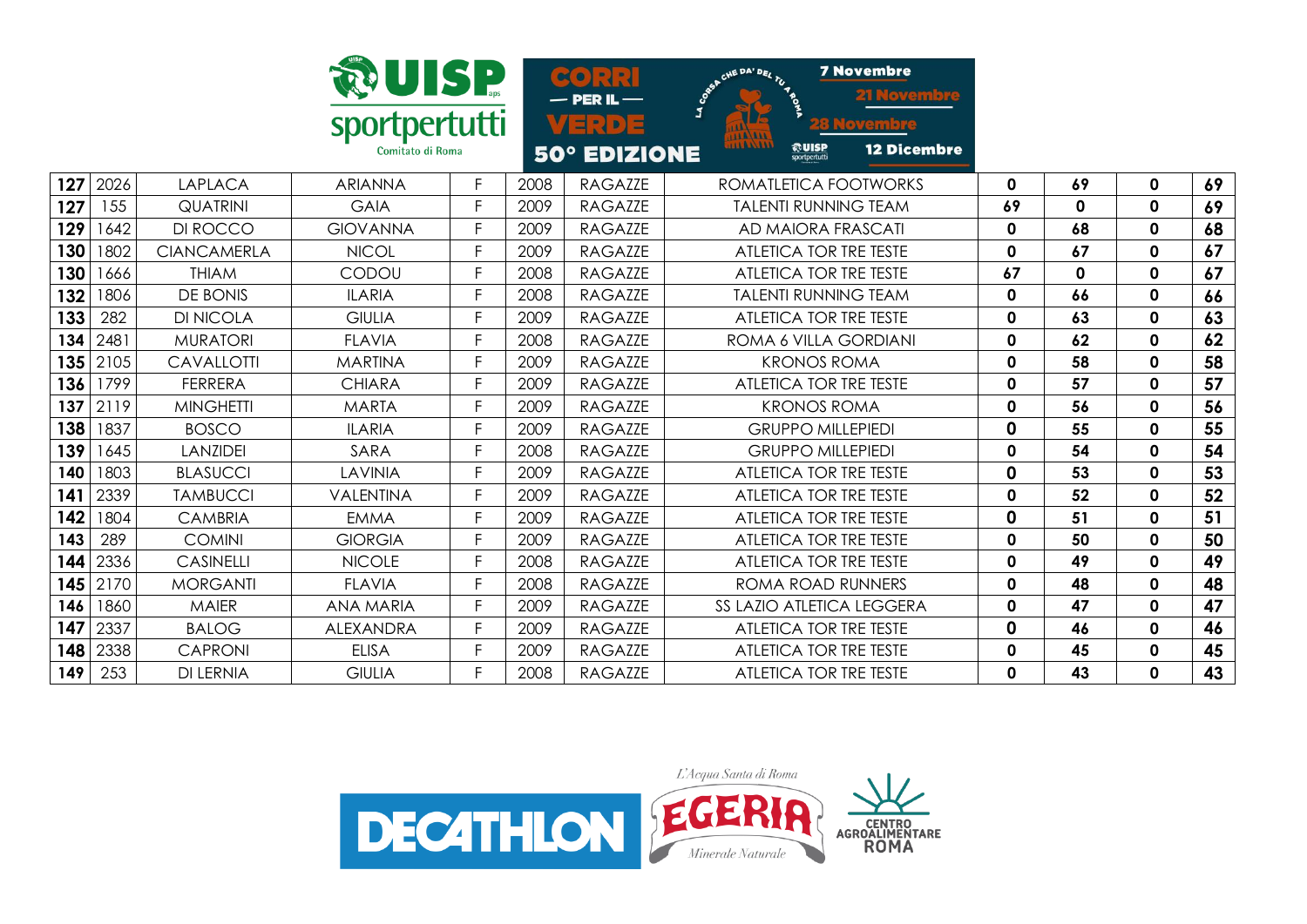|     |      |                    | <b>WUISP</b><br>sportpertutti<br>Comitato di Roma |    |      | $\infty$<br>$PERIL -$<br>크리아크<br><b>50° EDIZIONE</b> | <b>7 Novembre</b><br>CHE DA' DEL TU<br><u>Novembre</u><br>J<br><b>AALAAAA</b><br><b>TIUTITI</b><br>©UISP<br>12 Dicembre<br>sportpertutti |              |              |              |    |
|-----|------|--------------------|---------------------------------------------------|----|------|------------------------------------------------------|------------------------------------------------------------------------------------------------------------------------------------------|--------------|--------------|--------------|----|
| 127 | 2026 | <b>LAPLACA</b>     | <b>ARIANNA</b>                                    | F. | 2008 | <b>RAGAZZE</b>                                       | ROMATLETICA FOOTWORKS                                                                                                                    | 0            | 69           | 0            | 69 |
| 127 | 155  | <b>QUATRINI</b>    | <b>GAIA</b>                                       | E  | 2009 | <b>RAGAZZE</b>                                       | <b>TALENTI RUNNING TEAM</b>                                                                                                              | 69           | $\mathbf{0}$ | $\mathbf{0}$ | 69 |
| 129 | 1642 | DI ROCCO           | <b>GIOVANNA</b>                                   | F  | 2009 | <b>RAGAZZE</b>                                       | AD MAIORA FRASCATI                                                                                                                       | $\mathbf 0$  | 68           | $\mathbf 0$  | 68 |
| 130 | 1802 | <b>CIANCAMERLA</b> | <b>NICOL</b>                                      | F  | 2009 | <b>RAGAZZE</b>                                       | ATLETICA TOR TRE TESTE                                                                                                                   | $\mathbf{0}$ | 67           | $\mathbf 0$  | 67 |
| 130 | 1666 | <b>THIAM</b>       | CODOU                                             | F  | 2008 | <b>RAGAZZE</b>                                       | ATLETICA TOR TRE TESTE                                                                                                                   | 67           | 0            | $\mathbf{0}$ | 67 |
| 132 | 1806 | DE BONIS           | <b>ILARIA</b>                                     | Е  | 2008 | <b>RAGAZZE</b>                                       | <b>TALENTI RUNNING TEAM</b>                                                                                                              | $\mathbf 0$  | 66           | $\mathbf 0$  | 66 |
| 133 | 282  | <b>DI NICOLA</b>   | <b>GIULIA</b>                                     | E  | 2009 | <b>RAGAZZE</b>                                       | ATLETICA TOR TRE TESTE                                                                                                                   | $\mathbf 0$  | 63           | $\mathbf 0$  | 63 |
| 134 | 2481 | <b>MURATORI</b>    | <b>FLAVIA</b>                                     | F. | 2008 | <b>RAGAZZE</b>                                       | ROMA 6 VILLA GORDIANI                                                                                                                    | 0            | 62           | $\mathbf 0$  | 62 |
| 135 | 2105 | CAVALLOTTI         | <b>MARTINA</b>                                    | F  | 2009 | <b>RAGAZZE</b>                                       | <b>KRONOS ROMA</b>                                                                                                                       | $\mathbf{0}$ | 58           | $\mathbf{0}$ | 58 |
| 136 | 1799 | <b>FERRERA</b>     | <b>CHIARA</b>                                     | F. | 2009 | <b>RAGAZZE</b>                                       | ATLETICA TOR TRE TESTE                                                                                                                   | $\mathbf{0}$ | 57           | $\mathbf{0}$ | 57 |
| 137 | 2119 | <b>MINGHETTI</b>   | <b>MARTA</b>                                      | F  | 2009 | <b>RAGAZZE</b>                                       | <b>KRONOS ROMA</b>                                                                                                                       | $\mathbf 0$  | 56           | 0            | 56 |
| 138 | 1837 | <b>BOSCO</b>       | <b>ILARIA</b>                                     | F. | 2009 | <b>RAGAZZE</b>                                       | <b>GRUPPO MILLEPIEDI</b>                                                                                                                 | $\mathbf 0$  | 55           | $\mathbf 0$  | 55 |
| 139 | 1645 | <b>LANZIDEI</b>    | SARA                                              | F  | 2008 | <b>RAGAZZE</b>                                       | <b>GRUPPO MILLEPIEDI</b>                                                                                                                 | 0            | 54           | $\mathbf 0$  | 54 |
| 140 | 1803 | <b>BLASUCCI</b>    | LAVINIA                                           | E  | 2009 | <b>RAGAZZE</b>                                       | ATLETICA TOR TRE TESTE                                                                                                                   | $\mathbf 0$  | 53           | $\mathbf 0$  | 53 |
| 141 | 2339 | <b>TAMBUCCI</b>    | VALENTINA                                         | F  | 2009 | <b>RAGAZZE</b>                                       | ATLETICA TOR TRE TESTE                                                                                                                   | $\mathbf 0$  | 52           | $\mathbf 0$  | 52 |
| 142 | 1804 | <b>CAMBRIA</b>     | <b>EMMA</b>                                       | F  | 2009 | <b>RAGAZZE</b>                                       | ATLETICA TOR TRE TESTE                                                                                                                   | $\mathbf 0$  | 51           | $\mathbf{0}$ | 51 |
| 143 | 289  | <b>COMINI</b>      | <b>GIORGIA</b>                                    | F. | 2009 | <b>RAGAZZE</b>                                       | ATLETICA TOR TRE TESTE                                                                                                                   | $\mathbf 0$  | 50           | $\mathbf 0$  | 50 |
| 144 | 2336 | <b>CASINELLI</b>   | <b>NICOLE</b>                                     | F  | 2008 | <b>RAGAZZE</b>                                       | ATLETICA TOR TRE TESTE                                                                                                                   | 0            | 49           | $\mathbf 0$  | 49 |
| 145 | 2170 | <b>MORGANTI</b>    | <b>FLAVIA</b>                                     | E  | 2008 | <b>RAGAZZE</b>                                       | ROMA ROAD RUNNERS                                                                                                                        | $\mathbf 0$  | 48           | $\mathbf 0$  | 48 |
| 146 | 1860 | <b>MAIER</b>       | <b>ANA MARIA</b>                                  | F  | 2009 | <b>RAGAZZE</b>                                       | SS LAZIO ATLETICA LEGGERA                                                                                                                | $\mathbf{0}$ | 47           | $\mathbf{0}$ | 47 |
| 147 | 2337 | <b>BALOG</b>       | <b>ALEXANDRA</b>                                  | F  | 2009 | <b>RAGAZZE</b>                                       | ATLETICA TOR TRE TESTE                                                                                                                   | 0            | 46           | $\mathbf 0$  | 46 |
| 148 | 2338 | <b>CAPRONI</b>     | <b>ELISA</b>                                      | F  | 2009 | <b>RAGAZZE</b>                                       | ATLETICA TOR TRE TESTE                                                                                                                   | 0            | 45           | 0            | 45 |
| 149 | 253  | <b>DI LERNIA</b>   | <b>GIULIA</b>                                     | Е  | 2008 | <b>RAGAZZE</b>                                       | ATLETICA TOR TRE TESTE                                                                                                                   | $\mathbf{0}$ | 43           | $\mathbf 0$  | 43 |

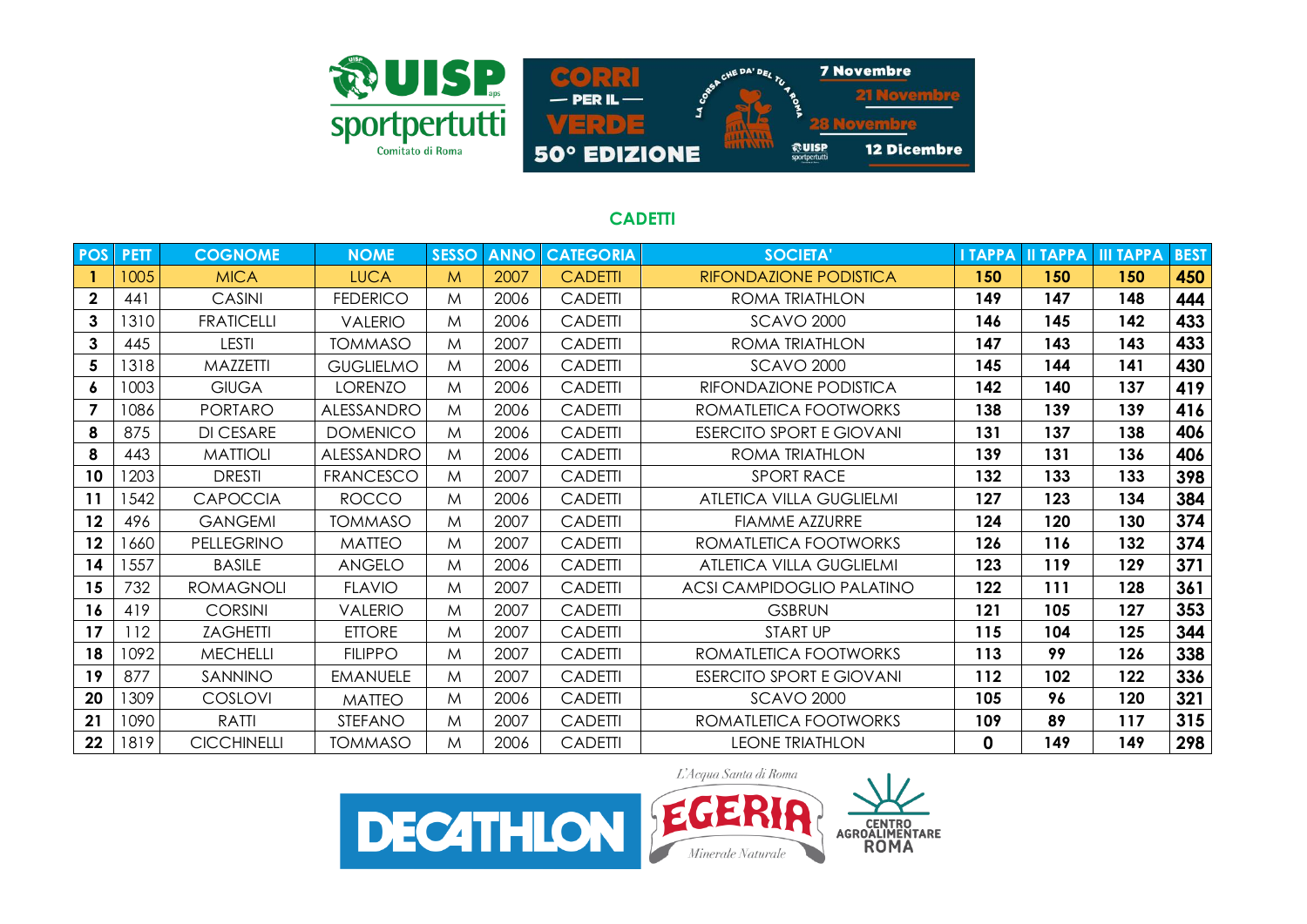

## **CADETTI**

| <b>POS</b>     | <b>PETT</b> | <b>COGNOME</b>     | <b>NOME</b>       | <b>SESSO</b> | <b>ANNO</b> | <b>CATEGORIA</b> | <b>SOCIETA'</b>                  | <b>I TAPPA</b> | <b>II TAPPA</b> | <b>III TAPPA</b> | <b>BEST</b> |
|----------------|-------------|--------------------|-------------------|--------------|-------------|------------------|----------------------------------|----------------|-----------------|------------------|-------------|
|                | 1005        | <b>MICA</b>        | <b>LUCA</b>       | M            | 2007        | <b>CADETTI</b>   | <b>RIFONDAZIONE PODISTICA</b>    | 150            | 150             | 150              | 450         |
| $\mathbf 2$    | 441         | <b>CASINI</b>      | <b>FEDERICO</b>   | M            | 2006        | <b>CADETTI</b>   | ROMA TRIATHLON                   | 149            | 147             | 148              | 444         |
| 3              | 1310        | <b>FRATICELLI</b>  | <b>VALERIO</b>    | M            | 2006        | <b>CADETTI</b>   | <b>SCAVO 2000</b>                | 146            | 145             | 142              | 433         |
| 3              | 445         | LESTI              | <b>TOMMASO</b>    | M            | 2007        | <b>CADETTI</b>   | ROMA TRIATHLON                   | 147            | 143             | 143              | 433         |
| 5              | 1318        | MAZZETTI           | <b>GUGLIELMO</b>  | M            | 2006        | <b>CADETTI</b>   | <b>SCAVO 2000</b>                | 145            | 144             | 141              | 430         |
| 6              | 1003        | <b>GIUGA</b>       | <b>LORENZO</b>    | M            | 2006        | <b>CADETTI</b>   | RIFONDAZIONE PODISTICA           | 142            | 140             | 137              | 419         |
| $\overline{7}$ | 1086        | <b>PORTARO</b>     | <b>ALESSANDRO</b> | M            | 2006        | <b>CADETTI</b>   | ROMATLETICA FOOTWORKS            | 138            | 139             | 139              | 416         |
| 8              | 875         | <b>DI CESARE</b>   | <b>DOMENICO</b>   | M            | 2006        | <b>CADETTI</b>   | <b>ESERCITO SPORT E GIOVANI</b>  | 131            | 137             | 138              | 406         |
| 8              | 443         | <b>MATTIOLI</b>    | ALESSANDRO        | M            | 2006        | <b>CADETTI</b>   | ROMA TRIATHLON                   | 139            | 131             | 136              | 406         |
| 10             | 1203        | <b>DRESTI</b>      | <b>FRANCESCO</b>  | М            | 2007        | <b>CADETTI</b>   | <b>SPORT RACE</b>                | 132            | 133             | 133              | 398         |
| 11             | 542         | <b>CAPOCCIA</b>    | <b>ROCCO</b>      | M            | 2006        | <b>CADETTI</b>   | ATLETICA VILLA GUGLIELMI         | 127            | 123             | 134              | 384         |
| 12             | 496         | <b>GANGEMI</b>     | <b>TOMMASO</b>    | M            | 2007        | <b>CADETTI</b>   | <b>FIAMME AZZURRE</b>            | 124            | 120             | 130              | 374         |
| 12             | 1660        | PELLEGRINO         | <b>MATTEO</b>     | M            | 2007        | <b>CADETTI</b>   | ROMATLETICA FOOTWORKS            | 126            | 116             | 132              | 374         |
| 14             | 557         | <b>BASILE</b>      | ANGELO            | M            | 2006        | <b>CADETTI</b>   | <b>ATLETICA VILLA GUGLIELMI</b>  | 123            | 119             | 129              | 371         |
| 15             | 732         | <b>ROMAGNOLI</b>   | <b>FLAVIO</b>     | M            | 2007        | <b>CADETTI</b>   | <b>ACSI CAMPIDOGLIO PALATINO</b> | 122            | 111             | 128              | 361         |
| 16             | 419         | <b>CORSINI</b>     | <b>VALERIO</b>    | M            | 2007        | <b>CADETTI</b>   | <b>GSBRUN</b>                    | 121            | 105             | 127              | 353         |
| 17             | 112         | <b>ZAGHETTI</b>    | <b>ETTORE</b>     | M            | 2007        | <b>CADETTI</b>   | <b>START UP</b>                  | 115            | 104             | 125              | 344         |
| 18             | 1092        | <b>MECHELLI</b>    | <b>FILIPPO</b>    | M            | 2007        | <b>CADETTI</b>   | ROMATLETICA FOOTWORKS            | 113            | 99              | 126              | 338         |
| 19             | 877         | SANNINO            | <b>EMANUELE</b>   | M            | 2007        | <b>CADETTI</b>   | <b>ESERCITO SPORT E GIOVANI</b>  | 112            | 102             | 122              | 336         |
| 20             | 1309        | COSLOVI            | <b>MATTEO</b>     | M            | 2006        | <b>CADETTI</b>   | <b>SCAVO 2000</b>                | 105            | 96              | 120              | 321         |
| 21             | 1090        | <b>RATTI</b>       | <b>STEFANO</b>    | M            | 2007        | <b>CADETTI</b>   | ROMATLETICA FOOTWORKS            | 109            | 89              | 117              | 315         |
| 22             | 1819        | <b>CICCHINELLI</b> | <b>TOMMASO</b>    | М            | 2006        | <b>CADETTI</b>   | <b>LEONE TRIATHLON</b>           | 0              | 149             | 149              | 298         |

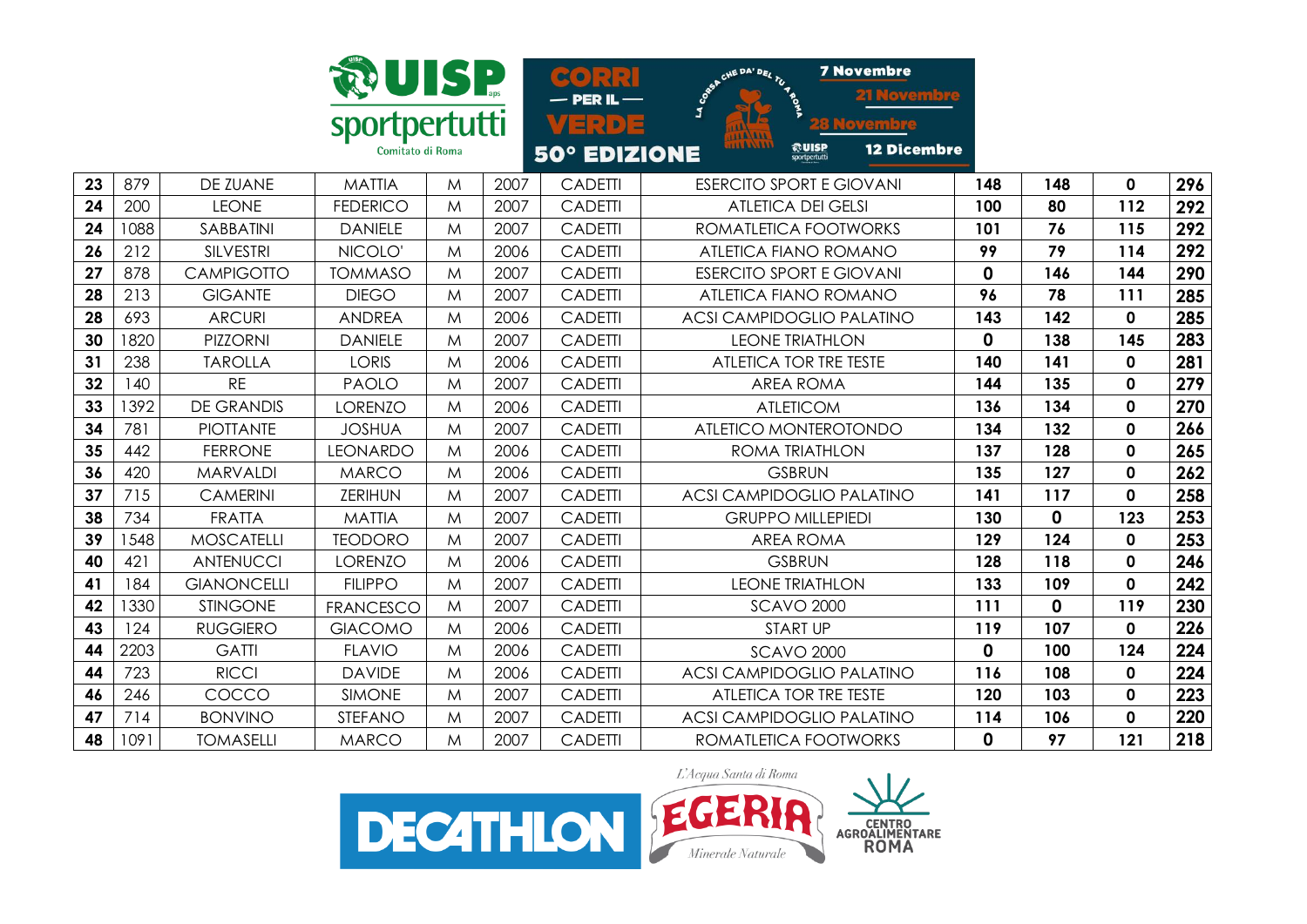

**7 Novembre HE DA' DEI**  $\alpha$ loven  $-$  PER IL  $-$ VERDE pvembre 12 Dicembre **ROUISP** 50° EDIZIONE

| 23 | 879  | DE ZUANE           | <b>MATTIA</b>    | M | 2007 | <b>CADETTI</b> | <b>ESERCITO SPORT E GIOVANI</b>  | 148 | 148          | 0            | 296 |
|----|------|--------------------|------------------|---|------|----------------|----------------------------------|-----|--------------|--------------|-----|
| 24 | 200  | <b>LEONE</b>       | <b>FEDERICO</b>  | M | 2007 | <b>CADETTI</b> | <b>ATLETICA DEI GELSI</b>        | 100 | 80           | 112          | 292 |
| 24 | 8801 | SABBATINI          | <b>DANIELE</b>   | M | 2007 | <b>CADETTI</b> | ROMATLETICA FOOTWORKS            | 101 | 76           | 115          | 292 |
| 26 | 212  | <b>SILVESTRI</b>   | NICOLO'          | M | 2006 | <b>CADETTI</b> | ATLETICA FIANO ROMANO            | 99  | 79           | 114          | 292 |
| 27 | 878  | <b>CAMPIGOTTO</b>  | <b>TOMMASO</b>   | M | 2007 | <b>CADETTI</b> | <b>ESERCITO SPORT E GIOVANI</b>  | 0   | 146          | 144          | 290 |
| 28 | 213  | <b>GIGANTE</b>     | <b>DIEGO</b>     | M | 2007 | <b>CADETTI</b> | ATLETICA FIANO ROMANO            | 96  | 78           | 111          | 285 |
| 28 | 693  | <b>ARCURI</b>      | <b>ANDREA</b>    | M | 2006 | <b>CADETTI</b> | <b>ACSI CAMPIDOGLIO PALATINO</b> | 143 | 142          | 0            | 285 |
| 30 | 820  | <b>PIZZORNI</b>    | <b>DANIELE</b>   | M | 2007 | <b>CADETTI</b> | <b>LEONE TRIATHLON</b>           | 0   | 138          | 145          | 283 |
| 31 | 238  | <b>TAROLLA</b>     | <b>LORIS</b>     | M | 2006 | <b>CADETTI</b> | ATLETICA TOR TRE TESTE           | 140 | 141          | 0            | 281 |
| 32 | 140  | <b>RE</b>          | <b>PAOLO</b>     | M | 2007 | <b>CADETTI</b> | <b>AREA ROMA</b>                 | 144 | 135          | $\mathbf 0$  | 279 |
| 33 | 392  | <b>DE GRANDIS</b>  | <b>LORENZO</b>   | M | 2006 | <b>CADETTI</b> | <b>ATLETICOM</b>                 | 136 | 134          | $\mathbf 0$  | 270 |
| 34 | 781  | <b>PIOTTANTE</b>   | <b>JOSHUA</b>    | M | 2007 | <b>CADETTI</b> | ATLETICO MONTEROTONDO            | 134 | 132          | $\mathbf 0$  | 266 |
| 35 | 442  | <b>FERRONE</b>     | <b>LEONARDO</b>  | M | 2006 | <b>CADETTI</b> | ROMA TRIATHLON                   | 137 | 128          | $\mathbf{0}$ | 265 |
| 36 | 420  | <b>MARVALDI</b>    | <b>MARCO</b>     | M | 2006 | <b>CADETTI</b> | <b>GSBRUN</b>                    | 135 | 127          | 0            | 262 |
| 37 | 715  | <b>CAMERINI</b>    | <b>ZERIHUN</b>   | M | 2007 | <b>CADETTI</b> | <b>ACSI CAMPIDOGLIO PALATINO</b> | 141 | 117          | 0            | 258 |
| 38 | 734  | <b>FRATTA</b>      | <b>MATTIA</b>    | M | 2007 | <b>CADETTI</b> | <b>GRUPPO MILLEPIEDI</b>         | 130 | 0            | 123          | 253 |
| 39 | 548  | <b>MOSCATELLI</b>  | <b>TEODORO</b>   | M | 2007 | <b>CADETTI</b> | AREA ROMA                        | 129 | 124          | 0            | 253 |
| 40 | 421  | <b>ANTENUCCI</b>   | LORENZO          | M | 2006 | <b>CADETTI</b> | <b>GSBRUN</b>                    | 128 | 118          | 0            | 246 |
| 41 | 184  | <b>GIANONCELLI</b> | <b>FILIPPO</b>   | M | 2007 | <b>CADETTI</b> | <b>LEONE TRIATHLON</b>           | 133 | 109          | $\mathbf{0}$ | 242 |
| 42 | 330  | <b>STINGONE</b>    | <b>FRANCESCO</b> | M | 2007 | <b>CADETTI</b> | <b>SCAVO 2000</b>                | 111 | $\mathbf{0}$ | 119          | 230 |
| 43 | 124  | <b>RUGGIERO</b>    | <b>GIACOMO</b>   | M | 2006 | <b>CADETTI</b> | <b>START UP</b>                  | 119 | 107          | $\mathbf{0}$ | 226 |
| 44 | 2203 | <b>GATTI</b>       | <b>FLAVIO</b>    | M | 2006 | <b>CADETTI</b> | <b>SCAVO 2000</b>                | 0   | 100          | 124          | 224 |
| 44 | 723  | <b>RICCI</b>       | <b>DAVIDE</b>    | M | 2006 | <b>CADETTI</b> | <b>ACSI CAMPIDOGLIO PALATINO</b> | 116 | 108          | $\mathbf{0}$ | 224 |
| 46 | 246  | COCCO              | <b>SIMONE</b>    | M | 2007 | <b>CADETTI</b> | ATLETICA TOR TRE TESTE           | 120 | 103          | 0            | 223 |
| 47 | 714  | <b>BONVINO</b>     | <b>STEFANO</b>   | M | 2007 | <b>CADETTI</b> | <b>ACSI CAMPIDOGLIO PALATINO</b> | 114 | 106          | $\mathbf 0$  | 220 |
| 48 | 1091 | <b>TOMASELLI</b>   | <b>MARCO</b>     | M | 2007 | <b>CADETTI</b> | ROMATLETICA FOOTWORKS            | 0   | 97           | 121          | 218 |

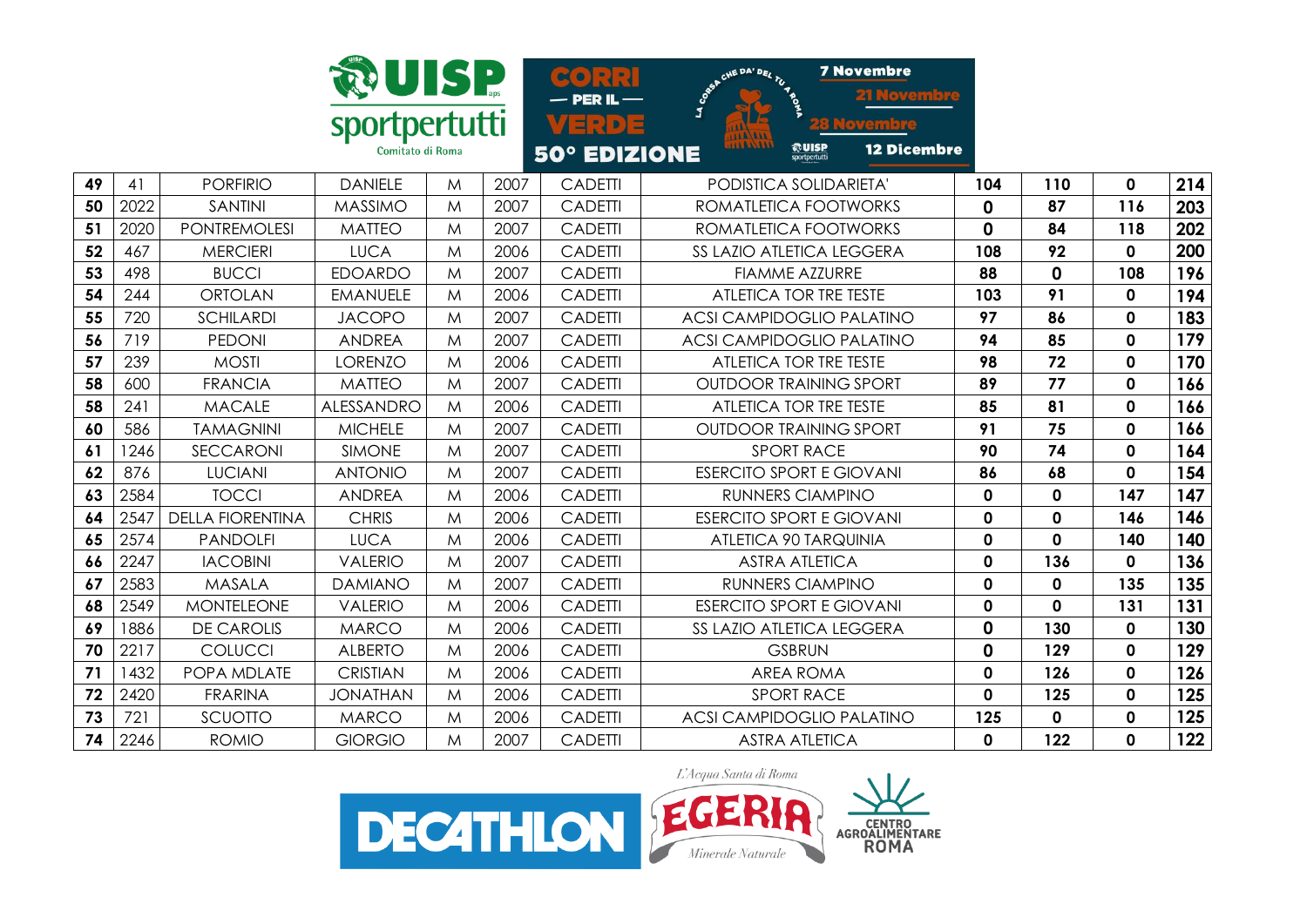

**7 Novembre**  $\alpha$   $\alpha$   $\alpha$  $-$  PER IL  $-$ VERDE <u>tovembre</u> **@UISP 12 Dicembre 50° EDIZIONE** sportpertutti

| 49 | 41   | <b>PORFIRIO</b>         | <b>DANIELE</b>  | M | 2007 | <b>CADETTI</b> | PODISTICA SOLIDARIETA'          | 104 | 110          | 0            | 214 |
|----|------|-------------------------|-----------------|---|------|----------------|---------------------------------|-----|--------------|--------------|-----|
| 50 | 2022 | SANTINI                 | <b>MASSIMO</b>  | M | 2007 | <b>CADETTI</b> | ROMATLETICA FOOTWORKS           | 0   | 87           | 116          | 203 |
| 51 | 2020 | <b>PONTREMOLESI</b>     | <b>MATTEO</b>   | M | 2007 | <b>CADETTI</b> | ROMATLETICA FOOTWORKS           | 0   | 84           | 118          | 202 |
| 52 | 467  | <b>MERCIERI</b>         | <b>LUCA</b>     | M | 2006 | <b>CADETTI</b> | SS LAZIO ATLETICA LEGGERA       | 108 | 92           | 0            | 200 |
| 53 | 498  | <b>BUCCI</b>            | <b>EDOARDO</b>  | M | 2007 | <b>CADETTI</b> | <b>FIAMME AZZURRE</b>           | 88  | $\mathbf 0$  | 108          | 196 |
| 54 | 244  | <b>ORTOLAN</b>          | <b>EMANUELE</b> | M | 2006 | <b>CADETTI</b> | ATLETICA TOR TRE TESTE          | 103 | 91           | 0            | 194 |
| 55 | 720  | SCHILARDI               | <b>JACOPO</b>   | M | 2007 | <b>CADETTI</b> | ACSI CAMPIDOGLIO PALATINO       | 97  | 86           | $\mathbf{0}$ | 183 |
| 56 | 719  | <b>PEDONI</b>           | <b>ANDREA</b>   | M | 2007 | <b>CADETTI</b> | ACSI CAMPIDOGLIO PALATINO       | 94  | 85           | 0            | 179 |
| 57 | 239  | <b>MOSTI</b>            | LORENZO         | M | 2006 | <b>CADETTI</b> | ATLETICA TOR TRE TESTE          | 98  | 72           | 0            | 170 |
| 58 | 600  | <b>FRANCIA</b>          | <b>MATTEO</b>   | M | 2007 | <b>CADETTI</b> | <b>OUTDOOR TRAINING SPORT</b>   | 89  | 77           | 0            | 166 |
| 58 | 241  | <b>MACALE</b>           | ALESSANDRO      | M | 2006 | <b>CADETTI</b> | ATLETICA TOR TRE TESTE          | 85  | 81           | 0            | 166 |
| 60 | 586  | TAMAGNINI               | <b>MICHELE</b>  | M | 2007 | <b>CADETTI</b> | <b>OUTDOOR TRAINING SPORT</b>   | 91  | 75           | 0            | 166 |
| 61 | 246  | SECCARONI               | <b>SIMONE</b>   | M | 2007 | <b>CADETTI</b> | <b>SPORT RACE</b>               | 90  | 74           | 0            | 164 |
| 62 | 876  | <b>LUCIANI</b>          | <b>ANTONIO</b>  | M | 2007 | <b>CADETTI</b> | <b>ESERCITO SPORT E GIOVANI</b> | 86  | 68           | $\mathbf 0$  | 154 |
| 63 | 2584 | <b>TOCCI</b>            | <b>ANDREA</b>   | M | 2006 | <b>CADETTI</b> | RUNNERS CIAMPINO                | 0   | $\mathbf{0}$ | 147          | 147 |
| 64 | 2547 | <b>DELLA FIORENTINA</b> | <b>CHRIS</b>    | M | 2006 | <b>CADETTI</b> | <b>ESERCITO SPORT E GIOVANI</b> | 0   | $\mathbf{0}$ | 146          | 146 |
| 65 | 2574 | <b>PANDOLFI</b>         | <b>LUCA</b>     | M | 2006 | <b>CADETTI</b> | ATLETICA 90 TARQUINIA           | 0   | 0            | 140          | 140 |



 2247 IACOBINI VALERIO M 2007 CADETTI ASTRA ATLETICA **0 136 0 136** 2583 MASALA DAMIANO M 2007 CADETTI RUNNERS CIAMPINO **0 0 135 135** 2549 MONTELEONE VALERIO M 2006 CADETTI ESERCITO SPORT E GIOVANI **0 0 131 131**  1886 DE CAROLIS MARCO M 2006 CADETTI SS LAZIO ATLETICA LEGGERA **0 130 0 130** 2217 COLUCCI ALBERTO M 2006 CADETTI GSBRUN **0 129 0 129** | 1432 | POPA MDLATE | CRISTIAN | M | 2006 | CADETTI | AREA ROMA | **0** | **126** | **0** | **126**  2420 FRARINA JONATHAN M 2006 CADETTI SPORT RACE **0 125 0 125** 721 SCUOTTO MARCO M 2006 CADETTI ACSI CAMPIDOGLIO PALATINO **125 0 0 125** 2246 ROMIO GIORGIO M 2007 CADETTI ASTRA ATLETICA **0 122 0 122**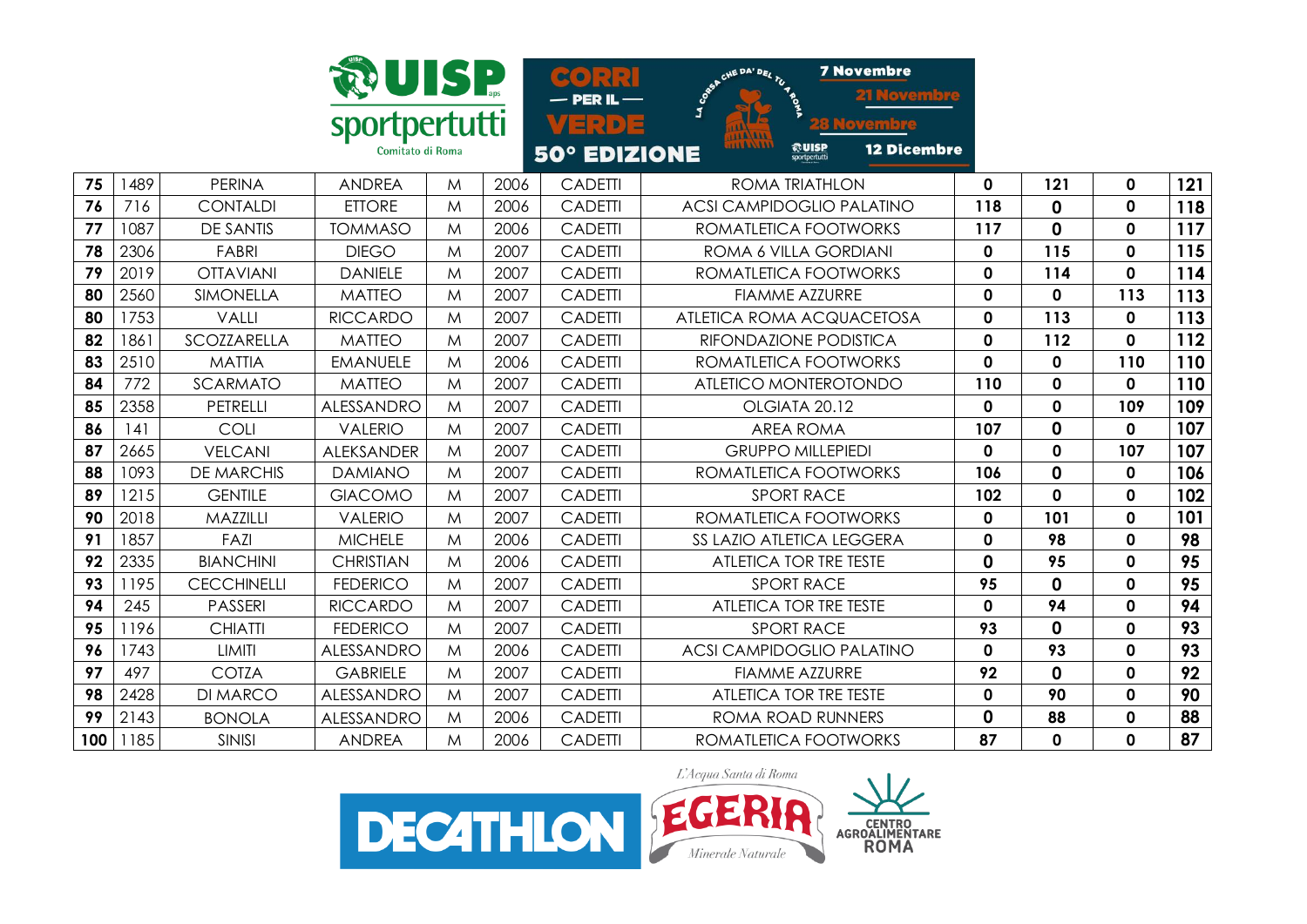

**7 Novembre** HE DA' DE  $(\alpha)$ loven  $-$  PER IL  $-$ VERDE pvembre **ROUISP 12 Dicembre** 50° EDIZIONE

| 75  | 489  | <b>PERINA</b>      | <b>ANDREA</b>     | M | 2006 | <b>CADETTI</b> | <b>ROMA TRIATHLON</b>            | 0   | 121         | $\mathbf{0}$ | 121 |
|-----|------|--------------------|-------------------|---|------|----------------|----------------------------------|-----|-------------|--------------|-----|
| 76  | 716  | <b>CONTALDI</b>    | <b>ETTORE</b>     | M | 2006 | <b>CADETTI</b> | <b>ACSI CAMPIDOGLIO PALATINO</b> | 118 | 0           | $\mathbf 0$  | 118 |
| 77  | 1087 | <b>DE SANTIS</b>   | <b>TOMMASO</b>    | M | 2006 | <b>CADETTI</b> | ROMATLETICA FOOTWORKS            | 117 | 0           | $\mathbf 0$  | 117 |
| 78  | 2306 | <b>FABRI</b>       | <b>DIEGO</b>      | M | 2007 | <b>CADETTI</b> | ROMA 6 VILLA GORDIANI            | 0   | 115         | $\mathbf 0$  | 115 |
| 79  | 2019 | <b>OTTAVIANI</b>   | <b>DANIELE</b>    | M | 2007 | <b>CADETTI</b> | ROMATLETICA FOOTWORKS            | 0   | 114         | $\mathbf 0$  | 114 |
| 80  | 2560 | <b>SIMONELLA</b>   | <b>MATTEO</b>     | M | 2007 | <b>CADETTI</b> | <b>FIAMME AZZURRE</b>            | 0   | $\mathbf 0$ | 113          | 113 |
| 80  | 1753 | VALLI              | <b>RICCARDO</b>   | M | 2007 | <b>CADETTI</b> | ATLETICA ROMA ACQUACETOSA        | 0   | 113         | $\mathbf{0}$ | 113 |
| 82  | 1861 | <b>SCOZZARELLA</b> | <b>MATTEO</b>     | M | 2007 | <b>CADETTI</b> | RIFONDAZIONE PODISTICA           | 0   | 112         | $\mathbf{0}$ | 112 |
| 83  | 2510 | <b>MATTIA</b>      | <b>EMANUELE</b>   | M | 2006 | <b>CADETTI</b> | ROMATLETICA FOOTWORKS            | 0   | 0           | 110          | 110 |
| 84  | 772  | <b>SCARMATO</b>    | <b>MATTEO</b>     | M | 2007 | <b>CADETTI</b> | ATLETICO MONTEROTONDO            | 110 | 0           | $\mathbf{0}$ | 110 |
| 85  | 2358 | PETRELLI           | <b>ALESSANDRO</b> | M | 2007 | <b>CADETII</b> | OLGIATA 20.12                    | 0   | $\mathbf 0$ | 109          | 109 |
| 86  | 141  | COLI               | <b>VALERIO</b>    | M | 2007 | <b>CADETTI</b> | <b>AREA ROMA</b>                 | 107 | $\mathbf 0$ | $\mathbf{0}$ | 107 |
| 87  | 2665 | <b>VELCANI</b>     | <b>ALEKSANDER</b> | M | 2007 | <b>CADETTI</b> | <b>GRUPPO MILLEPIEDI</b>         | 0   | $\mathbf 0$ | 107          | 107 |
| 88  | 1093 | <b>DE MARCHIS</b>  | <b>DAMIANO</b>    | M | 2007 | <b>CADETII</b> | ROMATLETICA FOOTWORKS            | 106 | 0           | $\mathbf 0$  | 106 |
| 89  | 1215 | <b>GENTILE</b>     | <b>GIACOMO</b>    | M | 2007 | <b>CADETTI</b> | <b>SPORT RACE</b>                | 102 | 0           | $\mathbf{0}$ | 102 |
| 90  | 2018 | MAZZILLI           | <b>VALERIO</b>    | M | 2007 | <b>CADETTI</b> | ROMATLETICA FOOTWORKS            | 0   | 101         | $\mathbf 0$  | 101 |
| 91  | 1857 | FAZI               | <b>MICHELE</b>    | M | 2006 | <b>CADETII</b> | SS LAZIO ATLETICA LEGGERA        | 0   | 98          | $\mathbf 0$  | 98  |
| 92  | 2335 | <b>BIANCHINI</b>   | <b>CHRISTIAN</b>  | M | 2006 | <b>CADETTI</b> | <b>ATLETICA TOR TRE TESTE</b>    | 0   | 95          | $\mathbf 0$  | 95  |
| 93  | 1195 | <b>CECCHINELLI</b> | <b>FEDERICO</b>   | M | 2007 | <b>CADETTI</b> | <b>SPORT RACE</b>                | 95  | 0           | $\mathbf 0$  | 95  |
| 94  | 245  | <b>PASSERI</b>     | <b>RICCARDO</b>   | M | 2007 | <b>CADETTI</b> | <b>ATLETICA TOR TRE TESTE</b>    | 0   | 94          | $\mathbf 0$  | 94  |
| 95  | 1196 | <b>CHIATTI</b>     | <b>FEDERICO</b>   | M | 2007 | <b>CADETTI</b> | <b>SPORT RACE</b>                | 93  | 0           | $\mathbf{0}$ | 93  |
| 96  | 1743 | LIMITI             | ALESSANDRO        | M | 2006 | <b>CADETTI</b> | <b>ACSI CAMPIDOGLIO PALATINO</b> | 0   | 93          | $\mathbf 0$  | 93  |
| 97  | 497  | <b>COTZA</b>       | <b>GABRIELE</b>   | M | 2007 | <b>CADETTI</b> | <b>FIAMME AZZURRE</b>            | 92  | 0           | $\mathbf 0$  | 92  |
| 98  | 2428 | DI MARCO           | ALESSANDRO        | M | 2007 | <b>CADETTI</b> | <b>ATLETICA TOR TRE TESTE</b>    | 0   | 90          | $\mathbf 0$  | 90  |
| 99  | 2143 | <b>BONOLA</b>      | ALESSANDRO        | M | 2006 | <b>CADETTI</b> | ROMA ROAD RUNNERS                | 0   | 88          | $\mathbf 0$  | 88  |
| 100 | 1185 | <b>SINISI</b>      | <b>ANDREA</b>     | M | 2006 | <b>CADETTI</b> | ROMATLETICA FOOTWORKS            | 87  | 0           | 0            | 87  |
|     |      |                    |                   |   |      |                |                                  |     |             |              |     |

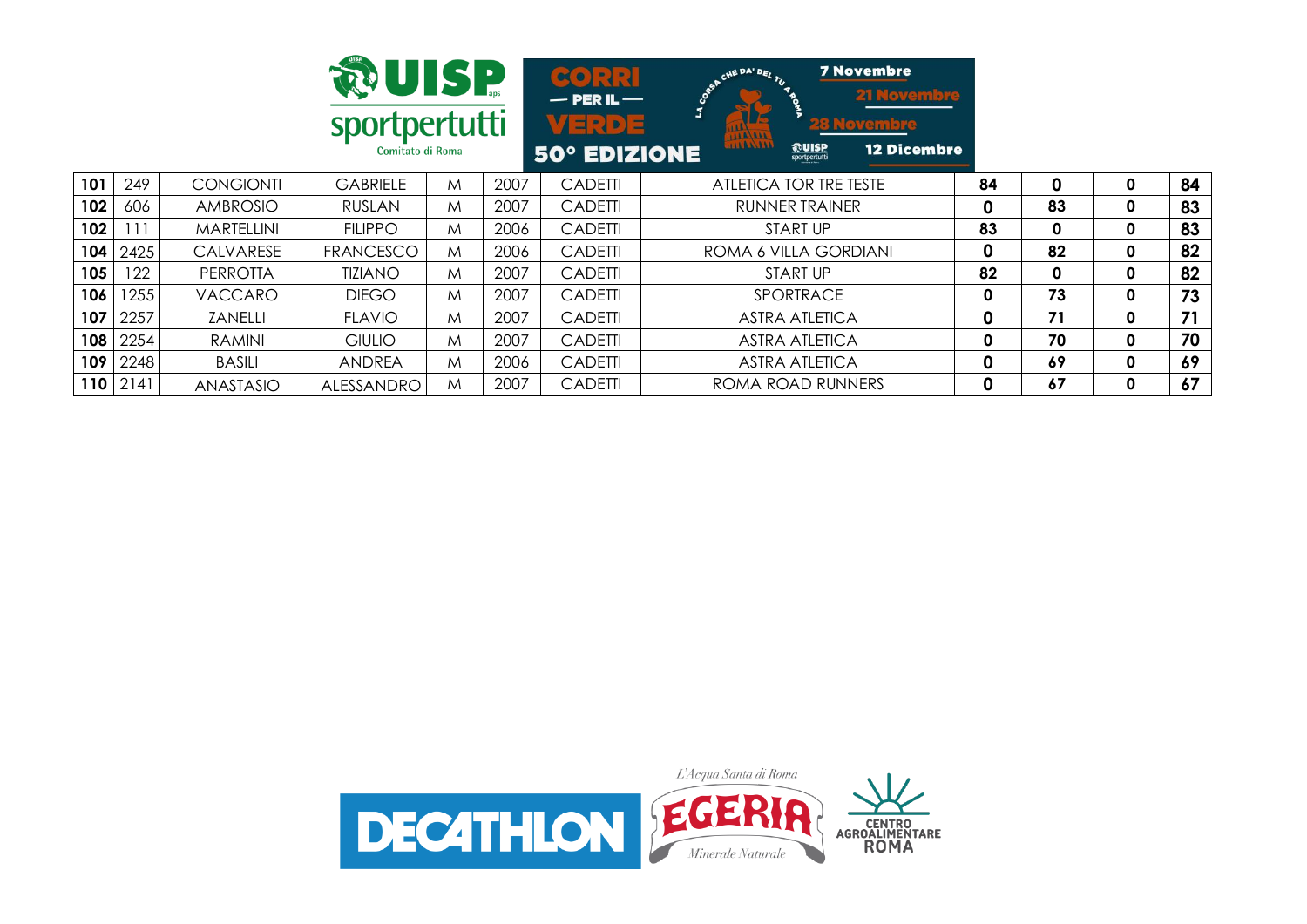|                  |      |                   | <b>RUISP</b><br>sportpertutti<br>Comitato di Roma |   |      | 30 R.N<br>$-$ PER IL $-$<br>VERDE<br><b>50° EDIZIONE</b> | <b>7 Novembre</b><br>CHE DA' DEL TU<br><b>21 Novembre</b><br>ં<br>t8 Novembre<br><b>Alland</b><br><b>HALAA AAA</b><br>$\frac{1}{\sqrt{2}}$ UISP<br><b>12 Dicembre</b> |    |             |              |    |
|------------------|------|-------------------|---------------------------------------------------|---|------|----------------------------------------------------------|-----------------------------------------------------------------------------------------------------------------------------------------------------------------------|----|-------------|--------------|----|
| 101              | 249  | <b>CONGIONTI</b>  | <b>GABRIELE</b>                                   | M | 2007 | <b>CADETTI</b>                                           | ATLETICA TOR TRE TESTE                                                                                                                                                | 84 | 0           | 0            | 84 |
| 102              | 606  | <b>AMBROSIO</b>   | <b>RUSLAN</b>                                     | M | 2007 | <b>CADETTI</b>                                           | <b>RUNNER TRAINER</b>                                                                                                                                                 | 0  | 83          | 0            | 83 |
| 102              | l 11 | <b>MARTELLINI</b> | <b>FILIPPO</b>                                    | M | 2006 | <b>CADETTI</b>                                           | <b>START UP</b>                                                                                                                                                       | 83 | $\mathbf 0$ | $\mathbf{0}$ | 83 |
| 104              | 2425 | CALVARESE         | <b>FRANCESCO</b>                                  | M | 2006 | <b>CADETTI</b>                                           | ROMA 6 VILLA GORDIANI                                                                                                                                                 | 0  | 82          | 0            | 82 |
| 105              | 122  | <b>PERROTTA</b>   | <b>TIZIANO</b>                                    | M | 2007 | <b>CADETTI</b>                                           | START UP                                                                                                                                                              | 82 | 0           | $\mathbf 0$  | 82 |
| 106              | 1255 | <b>VACCARO</b>    | <b>DIEGO</b>                                      | M | 2007 | <b>CADETTI</b>                                           | SPORTRACE                                                                                                                                                             | 0  | 73          | 0            | 73 |
| 107              | 2257 | ZANELLI           | <b>FLAVIO</b>                                     | M | 2007 | <b>CADETTI</b>                                           | <b>ASTRA ATLETICA</b>                                                                                                                                                 | 0  | 71          | 0            | 71 |
| 108              | 2254 | <b>RAMINI</b>     | <b>GIULIO</b>                                     | M | 2007 | <b>CADETTI</b>                                           | <b>ASTRA ATLETICA</b>                                                                                                                                                 | 0  | 70          | 0            | 70 |
| 109              | 2248 | <b>BASILI</b>     | ANDREA                                            | M | 2006 | <b>CADETTI</b>                                           | <b>ASTRA ATLETICA</b>                                                                                                                                                 | 0  | 69          | $\mathbf{0}$ | 69 |
| 110 <sub>1</sub> | 2141 | ANASTASIO         | <b>ALESSANDRO</b>                                 | M | 2007 | <b>CADETTI</b>                                           | ROMA ROAD RUNNERS                                                                                                                                                     | 0  | 67          | 0            | 67 |

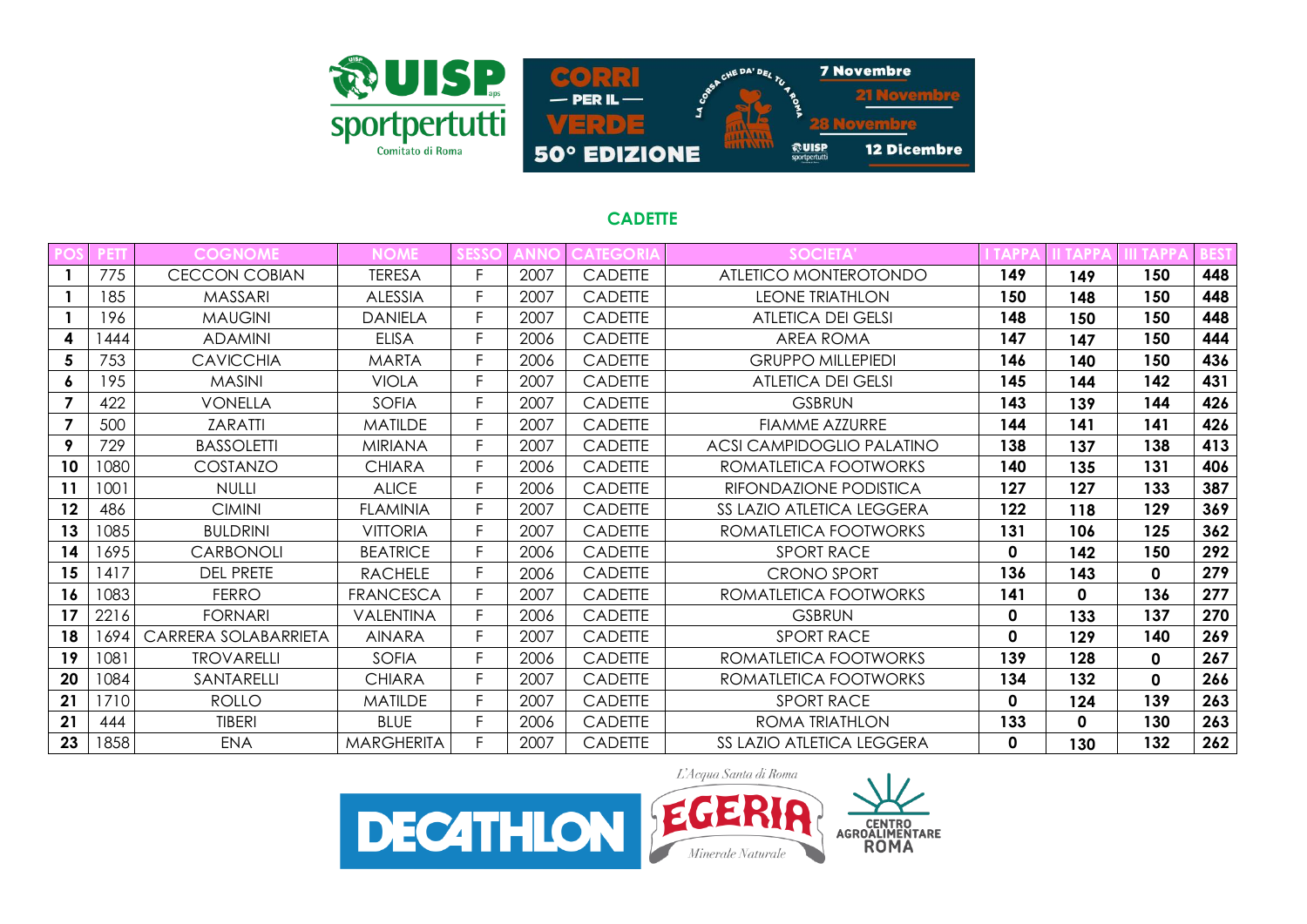

### **CADETTE**

|                |      | <b>COGNOME</b>       | <b>NOME</b>       |    |      | <b>ATEGORI</b> | <b>SOCIETA</b>                   |          |          |     |     |
|----------------|------|----------------------|-------------------|----|------|----------------|----------------------------------|----------|----------|-----|-----|
|                | 775  | <b>CECCON COBIAN</b> | <b>TERESA</b>     | F. | 2007 | <b>CADETTE</b> | ATLETICO MONTEROTONDO            | 149      | 149      | 150 | 448 |
|                | 185  | <b>MASSARI</b>       | <b>ALESSIA</b>    | F. | 2007 | <b>CADETTE</b> | <b>LEONE TRIATHLON</b>           | 150      | 148      | 150 | 448 |
|                | 196  | <b>MAUGINI</b>       | <b>DANIELA</b>    | F. | 2007 | <b>CADETTE</b> | <b>ATLETICA DEI GELSI</b>        | 148      | 150      | 150 | 448 |
| 4              | 444  | <b>ADAMINI</b>       | <b>ELISA</b>      | F. | 2006 | <b>CADETTE</b> | AREA ROMA                        | 147      | 147      | 150 | 444 |
| 5              | 753  | <b>CAVICCHIA</b>     | <b>MARTA</b>      | F. | 2006 | <b>CADETTE</b> | <b>GRUPPO MILLEPIEDI</b>         | 146      | 140      | 150 | 436 |
| 6              | 195  | <b>MASINI</b>        | <b>VIOLA</b>      | F. | 2007 | <b>CADETTE</b> | <b>ATLETICA DEI GELSI</b>        | 145      | 144      | 142 | 431 |
|                | 422  | <b>VONELLA</b>       | <b>SOFIA</b>      | F. | 2007 | <b>CADETTE</b> | <b>GSBRUN</b>                    | 143      | 139      | 144 | 426 |
| $\overline{7}$ | 500  | <b>ZARATTI</b>       | <b>MATILDE</b>    | F. | 2007 | <b>CADETTE</b> | FIAMME AZZURRE                   | 144      | 141      | 141 | 426 |
| 9              | 729  | <b>BASSOLETTI</b>    | <b>MIRIANA</b>    | F. | 2007 | <b>CADETTE</b> | ACSI CAMPIDOGLIO PALATINO        | 138      | 137      | 138 | 413 |
| 10             | 1080 | COSTANZO             | <b>CHIARA</b>     | F  | 2006 | <b>CADETTE</b> | ROMATLETICA FOOTWORKS            | 140      | 135      | 131 | 406 |
| 11             | 1001 | <b>NULLI</b>         | <b>ALICE</b>      | E. | 2006 | <b>CADETTE</b> | RIFONDAZIONE PODISTICA           | 127      | 127      | 133 | 387 |
| 12             | 486  | <b>CIMINI</b>        | <b>FLAMINIA</b>   | F. | 2007 | <b>CADETTE</b> | <b>SS LAZIO ATLETICA LEGGERA</b> | 122      | 118      | 129 | 369 |
| 13             | 1085 | <b>BULDRINI</b>      | <b>VITTORIA</b>   | E. | 2007 | CADETTE        | ROMATLETICA FOOTWORKS            | 131      | 106      | 125 | 362 |
| 14             | 1695 | <b>CARBONOLI</b>     | <b>BEATRICE</b>   | F. | 2006 | <b>CADETTE</b> | <b>SPORT RACE</b>                | 0        | 142      | 150 | 292 |
| 15             | 1417 | <b>DEL PRETE</b>     | <b>RACHELE</b>    |    | 2006 | <b>CADETTE</b> | <b>CRONO SPORT</b>               | 136      | 143      | 0   | 279 |
| 16             | 1083 | <b>FERRO</b>         | <b>FRANCESCA</b>  |    | 2007 | <b>CADETTE</b> | ROMATLETICA FOOTWORKS            | 141      | $\Omega$ | 136 | 277 |
| 17             | 2216 | <b>FORNARI</b>       | VALENTINA         |    | 2006 | <b>CADETTE</b> | <b>GSBRUN</b>                    | 0        | 133      | 137 | 270 |
| 18             | 1694 | CARRERA SOLABARRIETA | <b>AINARA</b>     | F. | 2007 | <b>CADETTE</b> | <b>SPORT RACE</b>                | 0        | 129      | 140 | 269 |
| 19             | 1081 | <b>TROVARELLI</b>    | <b>SOFIA</b>      | F. | 2006 | <b>CADETTE</b> | ROMATLETICA FOOTWORKS            | 139      | 128      | 0   | 267 |
| 20             | 1084 | SANTARELLI           | <b>CHIARA</b>     | F. | 2007 | <b>CADETTE</b> | ROMATLETICA FOOTWORKS            | 134      | 132      | 0   | 266 |
| 21             | 1710 | <b>ROLLO</b>         | <b>MATILDE</b>    | F. | 2007 | <b>CADETTE</b> | <b>SPORT RACE</b>                | $\Omega$ | 124      | 139 | 263 |
| 21             | 444  | <b>TIBERI</b>        | <b>BLUE</b>       | F. | 2006 | <b>CADETTE</b> | ROMA TRIATHLON                   | 133      | 0        | 130 | 263 |
| 23             | 1858 | ENA                  | <b>MARGHERITA</b> |    | 2007 | <b>CADETTE</b> | <b>SS LAZIO ATLETICA LEGGERA</b> | $\Omega$ | 130      | 132 | 262 |





loven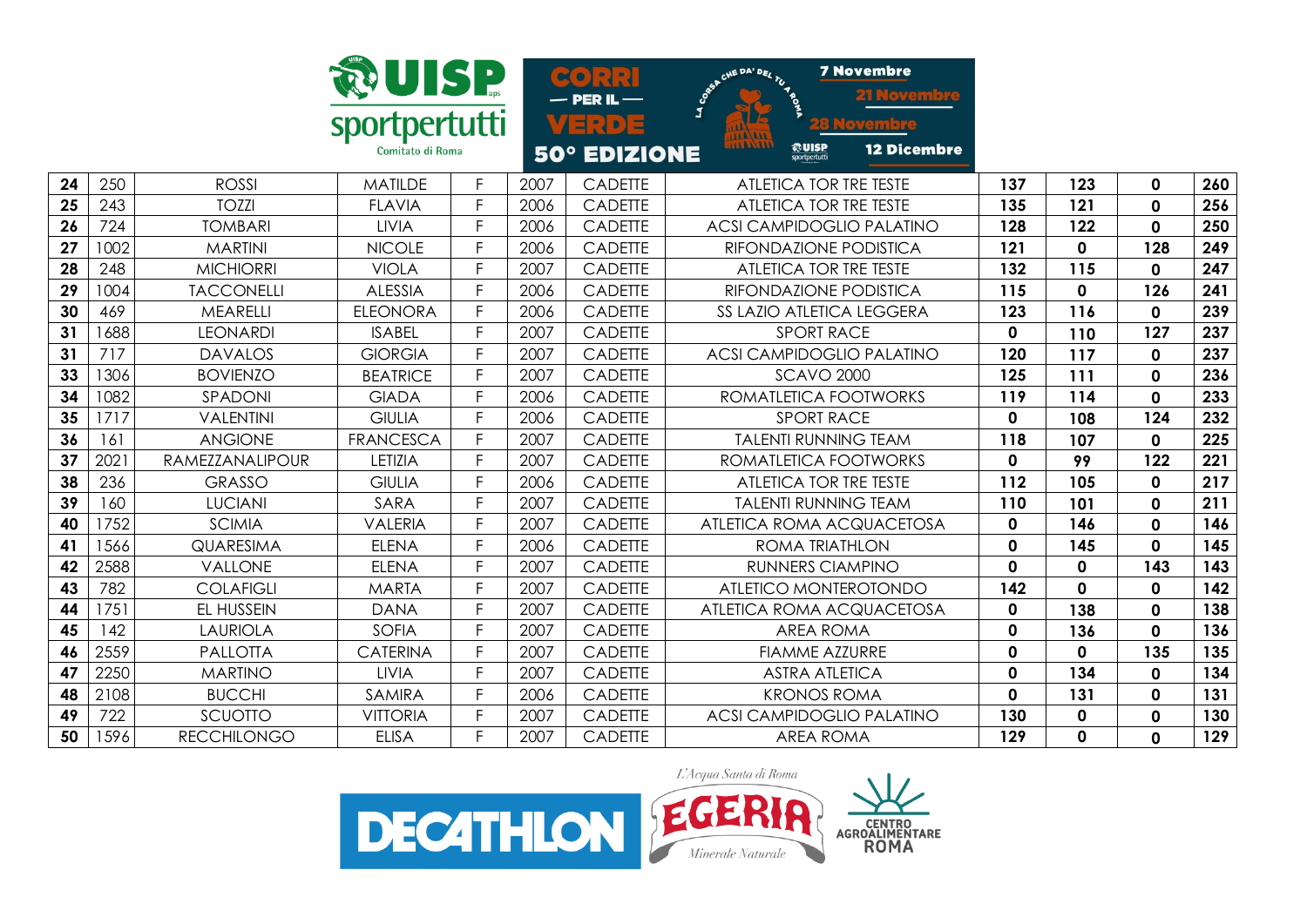|    |      |                    | <b>DUISP</b>                      |    |      | $\sim$ $\sim$<br>$-$ PER IL $-$ | <b>7 Novembre</b><br>CHE DA' DEL TU 4 PO     |              |              |              |     |
|----|------|--------------------|-----------------------------------|----|------|---------------------------------|----------------------------------------------|--------------|--------------|--------------|-----|
|    |      |                    | sportpertutti<br>Comitato di Roma |    |      | ソヨシワコ<br>50° EDIZIONE           | ©UISP<br><b>12 Dicembre</b><br>sportpertutti |              |              |              |     |
| 24 | 250  | <b>ROSSI</b>       | <b>MATILDE</b>                    | F  | 2007 | <b>CADETTE</b>                  | ATLETICA TOR TRE TESTE                       | 137          | 123          | $\mathbf 0$  | 260 |
| 25 | 243  | <b>TOZZI</b>       | <b>FLAVIA</b>                     | E  | 2006 | CADETTE                         | ATLETICA TOR TRE TESTE                       | 135          | 121          | $\mathbf 0$  | 256 |
| 26 | 724  | <b>TOMBARI</b>     | <b>LIVIA</b>                      | F. | 2006 | <b>CADETTE</b>                  | <b>ACSI CAMPIDOGLIO PALATINO</b>             | 128          | 122          | 0            | 250 |
| 27 | 1002 | <b>MARTINI</b>     | <b>NICOLE</b>                     | F  | 2006 | <b>CADETTE</b>                  | RIFONDAZIONE PODISTICA                       | 121          | 0            | 128          | 249 |
| 28 | 248  | <b>MICHIORRI</b>   | <b>VIOLA</b>                      | F. | 2007 | <b>CADETTE</b>                  | ATLETICA TOR TRE TESTE                       | 132          | 115          | 0            | 247 |
| 29 | 1004 | <b>TACCONELLI</b>  | <b>ALESSIA</b>                    | F. | 2006 | <b>CADETTE</b>                  | RIFONDAZIONE PODISTICA                       | 115          | $\mathbf 0$  | 126          | 241 |
| 30 | 469  | <b>MEARELLI</b>    | <b>ELEONORA</b>                   | F. | 2006 | <b>CADETTE</b>                  | SS LAZIO ATLETICA LEGGERA                    | 123          | 116          | 0            | 239 |
| 31 | 1688 | <b>LEONARDI</b>    | <b>ISABEL</b>                     | F. | 2007 | <b>CADETTE</b>                  | <b>SPORT RACE</b>                            | $\mathbf 0$  | 110          | 127          | 237 |
| 31 | 717  | <b>DAVALOS</b>     | <b>GIORGIA</b>                    | E  | 2007 | <b>CADETTE</b>                  | <b>ACSI CAMPIDOGLIO PALATINO</b>             | 120          | 117          | 0            | 237 |
| 33 | 1306 | <b>BOVIENZO</b>    | <b>BEATRICE</b>                   | E. | 2007 | CADETTE                         | <b>SCAVO 2000</b>                            | 125          | 111          | 0            | 236 |
| 34 | 1082 | SPADONI            | <b>GIADA</b>                      | E  | 2006 | <b>CADETTE</b>                  | ROMATLETICA FOOTWORKS                        | 119          | 114          | $\mathbf 0$  | 233 |
| 35 | 1717 | <b>VALENTINI</b>   | <b>GIULIA</b>                     | F  | 2006 | <b>CADETTE</b>                  | <b>SPORT RACE</b>                            | $\mathbf 0$  | 108          | 124          | 232 |
| 36 | 161  | <b>ANGIONE</b>     | <b>FRANCESCA</b>                  | E. | 2007 | <b>CADETTE</b>                  | <b>TALENTI RUNNING TEAM</b>                  | 118          | 107          | 0            | 225 |
| 37 | 2021 | RAMEZZANALIPOUR    | LETIZIA                           | F. | 2007 | <b>CADETTE</b>                  | ROMATLETICA FOOTWORKS                        | $\mathbf{0}$ | 99           | 122          | 221 |
| 38 | 236  | <b>GRASSO</b>      | <b>GIULIA</b>                     | F  | 2006 | CADETTE                         | ATLETICA TOR TRE TESTE                       | 112          | 105          | $\mathbf 0$  | 217 |
| 39 | 160  | <b>LUCIANI</b>     | SARA                              | F  | 2007 | <b>CADETTE</b>                  | <b>TALENTI RUNNING TEAM</b>                  | 110          | 101          | 0            | 211 |
| 40 | 1752 | <b>SCIMIA</b>      | <b>VALERIA</b>                    | F. | 2007 | CADETTE                         | ATLETICA ROMA ACQUACETOSA                    | $\mathbf 0$  | 146          | 0            | 146 |
| 41 | 1566 | <b>QUARESIMA</b>   | <b>ELENA</b>                      | F. | 2006 | <b>CADETTE</b>                  | <b>ROMA TRIATHLON</b>                        | $\mathbf{0}$ | 145          | 0            | 145 |
| 42 | 2588 | VALLONE            | <b>ELENA</b>                      | F. | 2007 | <b>CADETTE</b>                  | <b>RUNNERS CIAMPINO</b>                      | $\mathbf{0}$ | $\mathbf{0}$ | 143          | 143 |
| 43 | 782  | <b>COLAFIGLI</b>   | <b>MARTA</b>                      | F. | 2007 | <b>CADETTE</b>                  | ATLETICO MONTEROTONDO                        | 142          | $\mathbf 0$  | 0            | 142 |
| 44 | 1751 | EL HUSSEIN         | <b>DANA</b>                       | E. | 2007 | <b>CADETTE</b>                  | ATLETICA ROMA ACQUACETOSA                    | $\mathbf 0$  | 138          | 0            | 138 |
| 45 | 142  | <b>LAURIOLA</b>    | <b>SOFIA</b>                      | F. | 2007 | <b>CADETTE</b>                  | <b>AREA ROMA</b>                             | $\mathbf 0$  | 136          | $\mathbf{0}$ | 136 |
| 46 | 2559 | PALLOTTA           | <b>CATERINA</b>                   | F  | 2007 | CADETTE                         | <b>FIAMME AZZURRE</b>                        | $\mathbf 0$  | $\mathbf 0$  | 135          | 135 |
| 47 | 2250 | <b>MARTINO</b>     | <b>LIVIA</b>                      | F  | 2007 | <b>CADETTE</b>                  | <b>ASTRA ATLETICA</b>                        | $\mathbf 0$  | 134          | 0            | 134 |
| 48 | 2108 | <b>BUCCHI</b>      | <b>SAMIRA</b>                     | F. | 2006 | <b>CADETTE</b>                  | <b>KRONOS ROMA</b>                           | $\mathbf{0}$ | 131          | 0            | 131 |
| 49 | 722  | SCUOTTO            | <b>VITTORIA</b>                   | F  | 2007 | <b>CADETTE</b>                  | <b>ACSI CAMPIDOGLIO PALATINO</b>             | 130          | 0            | 0            | 130 |
| 50 | 1596 | <b>RECCHILONGO</b> | <b>ELISA</b>                      | F. | 2007 | <b>CADETTE</b>                  | <b>AREA ROMA</b>                             | 129          | $\mathbf 0$  | $\mathbf 0$  | 129 |